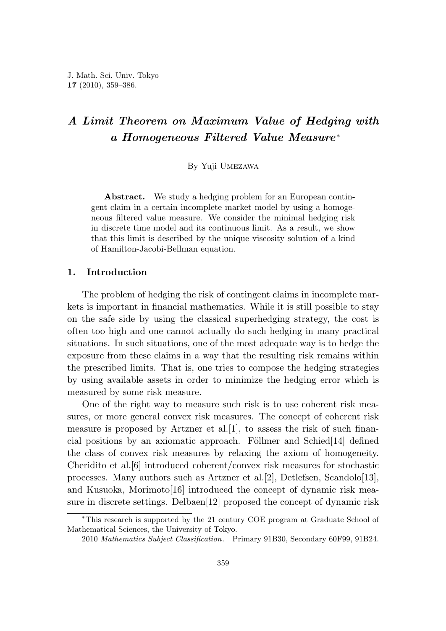# *A Limit Theorem on Maximum Value of Hedging with a Homogeneous Filtered Value Measure*<sup>∗</sup>

By Yuji Umezawa

**Abstract.** We study a hedging problem for an European contingent claim in a certain incomplete market model by using a homogeneous filtered value measure. We consider the minimal hedging risk in discrete time model and its continuous limit. As a result, we show that this limit is described by the unique viscosity solution of a kind of Hamilton-Jacobi-Bellman equation.

# **1. Introduction**

The problem of hedging the risk of contingent claims in incomplete markets is important in financial mathematics. While it is still possible to stay on the safe side by using the classical superhedging strategy, the cost is often too high and one cannot actually do such hedging in many practical situations. In such situations, one of the most adequate way is to hedge the exposure from these claims in a way that the resulting risk remains within the prescribed limits. That is, one tries to compose the hedging strategies by using available assets in order to minimize the hedging error which is measured by some risk measure.

One of the right way to measure such risk is to use coherent risk measures, or more general convex risk measures. The concept of coherent risk measure is proposed by Artzner et al.  $[1]$ , to assess the risk of such financial positions by an axiomatic approach. Föllmer and Schied[14] defined the class of convex risk measures by relaxing the axiom of homogeneity. Cheridito et al.[6] introduced coherent/convex risk measures for stochastic processes. Many authors such as Artzner et al.[2], Detlefsen, Scandolo[13], and Kusuoka, Morimoto $[16]$  introduced the concept of dynamic risk measure in discrete settings. Delbaen[12] proposed the concept of dynamic risk

<sup>∗</sup>This research is supported by the 21 century COE program at Graduate School of Mathematical Sciences, the University of Tokyo.

<sup>2010</sup> *Mathematics Subject Classification*. Primary 91B30, Secondary 60F99, 91B24.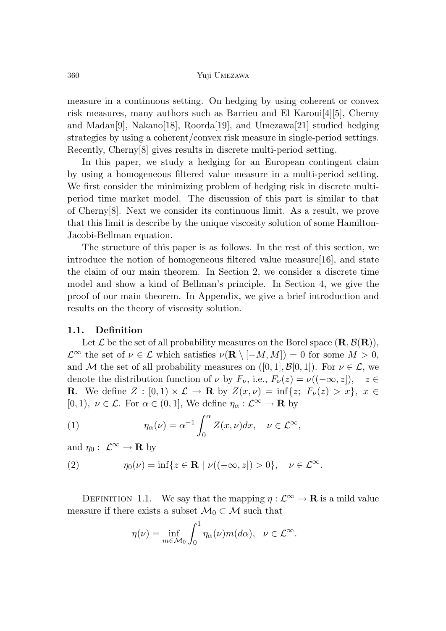measure in a continuous setting. On hedging by using coherent or convex risk measures, many authors such as Barrieu and El Karoui[4][5], Cherny and Madan<sup>[9]</sup>, Nakano<sup>[18]</sup>, Roorda<sup>[19]</sup>, and Umezawa<sup>[21]</sup> studied hedging strategies by using a coherent/convex risk measure in single-period settings. Recently, Cherny[8] gives results in discrete multi-period setting.

In this paper, we study a hedging for an European contingent claim by using a homogeneous filtered value measure in a multi-period setting. We first consider the minimizing problem of hedging risk in discrete multiperiod time market model. The discussion of this part is similar to that of Cherny[8]. Next we consider its continuous limit. As a result, we prove that this limit is describe by the unique viscosity solution of some Hamilton-Jacobi-Bellman equation.

The structure of this paper is as follows. In the rest of this section, we introduce the notion of homogeneous filtered value measure[16], and state the claim of our main theorem. In Section 2, we consider a discrete time model and show a kind of Bellman's principle. In Section 4, we give the proof of our main theorem. In Appendix, we give a brief introduction and results on the theory of viscosity solution.

#### **1.1. Definition**

Let  $\mathcal{L}$  be the set of all probability measures on the Borel space  $(\mathbf{R}, \mathcal{B}(\mathbf{R}))$ ,  $\mathcal{L}^{\infty}$  the set of  $\nu \in \mathcal{L}$  which satisfies  $\nu(\mathbf{R} \setminus [-M, M]) = 0$  for some  $M > 0$ , and M the set of all probability measures on  $([0,1], \mathcal{B}[0,1])$ . For  $\nu \in \mathcal{L}$ , we denote the distribution function of  $\nu$  by  $F_{\nu}$ , i.e.,  $F_{\nu}(z) = \nu((-\infty, z])$ ,  $z \in$ **R**. We define  $Z : [0,1) \times \mathcal{L} \to \mathbb{R}$  by  $Z(x,\nu) = \inf\{z; F_{\nu}(z) > x\}, x \in$  $[0,1)$ ,  $\nu \in \mathcal{L}$ . For  $\alpha \in (0,1]$ , We define  $\eta_{\alpha}: \mathcal{L}^{\infty} \to \mathbf{R}$  by

(1) 
$$
\eta_{\alpha}(\nu) = \alpha^{-1} \int_0^{\alpha} Z(x,\nu) dx, \quad \nu \in \mathcal{L}^{\infty},
$$

and  $\eta_0: \mathcal{L}^{\infty} \to \mathbf{R}$  by

(2) 
$$
\eta_0(\nu) = \inf\{z \in \mathbf{R} \mid \nu((-\infty, z]) > 0\}, \quad \nu \in \mathcal{L}^{\infty}.
$$

DEFINITION 1.1. We say that the mapping  $\eta : \mathcal{L}^{\infty} \to \mathbf{R}$  is a mild value measure if there exists a subset  $\mathcal{M}_0 \subset \mathcal{M}$  such that

$$
\eta(\nu) = \inf_{m \in \mathcal{M}_0} \int_0^1 \eta_\alpha(\nu) m(d\alpha), \ \ \nu \in \mathcal{L}^\infty.
$$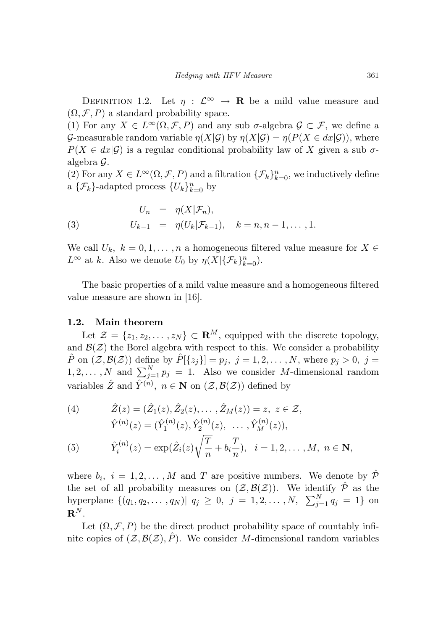DEFINITION 1.2. Let  $\eta : \mathcal{L}^{\infty} \to \mathbf{R}$  be a mild value measure and  $(\Omega, \mathcal{F}, P)$  a standard probability space.

(1) For any  $X \in L^{\infty}(\Omega, \mathcal{F}, P)$  and any sub  $\sigma$ -algebra  $\mathcal{G} \subset \mathcal{F}$ , we define a G-measurable random variable  $\eta(X|\mathcal{G})$  by  $\eta(X|\mathcal{G}) = \eta(P(X \in dx|\mathcal{G}))$ , where  $P(X \in dx | \mathcal{G})$  is a regular conditional probability law of X given a sub  $\sigma$ algebra G.

(2) For any  $X \in L^{\infty}(\Omega, \mathcal{F}, P)$  and a filtration  $\{\mathcal{F}_k\}_{k=0}^n$ , we inductively define a  $\{\mathcal{F}_k\}$ -adapted process  $\{U_k\}_{k=0}^n$  by

(3) 
$$
U_n = \eta(X|\mathcal{F}_n), U_{k-1} = \eta(U_k|\mathcal{F}_{k-1}), \quad k = n, n-1, ..., 1.
$$

We call  $U_k$ ,  $k = 0, 1, \ldots, n$  a homogeneous filtered value measure for  $X \in$  $L^{\infty}$  at *k*. Also we denote  $U_0$  by  $\eta(X|\{\mathcal{F}_k\}_{k=0}^n)$ .

The basic properties of a mild value measure and a homogeneous filtered value measure are shown in [16].

## **1.2. Main theorem**

Let  $\mathcal{Z} = \{z_1, z_2, \ldots, z_N\} \subset \mathbf{R}^M$ , equipped with the discrete topology, and  $\mathcal{B}(\mathcal{Z})$  the Borel algebra with respect to this. We consider a probability  $\hat{P}$  on  $(\mathcal{Z}, \mathcal{B}(\mathcal{Z}))$  define by  $\hat{P}[\{z_j\}] = p_j$ ,  $j = 1, 2, \ldots, N$ , where  $p_j > 0$ ,  $j =$  $1, 2, \ldots, N$  and  $\sum_{j=1}^{N} p_j = 1$ . Also we consider *M*-dimensional random variables  $\hat{Z}$  and  $\hat{Y}^{(n)}$ ,  $n \in \mathbb{N}$  on  $(\mathcal{Z}, \mathcal{B}(\mathcal{Z}))$  defined by

(4) 
$$
\hat{Z}(z) = (\hat{Z}_1(z), \hat{Z}_2(z), \dots, \hat{Z}_M(z)) = z, \ z \in \mathcal{Z},
$$

$$
\hat{Y}^{(n)}(z) = (\hat{Y}_1^{(n)}(z), \hat{Y}_2^{(n)}(z), \dots, \hat{Y}_M^{(n)}(z)),
$$

$$
\hat{Y}_i^{(n)}(z) = \exp(\hat{Z}_i(z)\sqrt{\frac{T}{n}} + b_i\frac{T}{n}), \ i = 1, 2, \dots, M, \ n \in \mathbb{N},
$$

where  $b_i$ ,  $i = 1, 2, \ldots, M$  and *T* are positive numbers. We denote by  $\hat{\mathcal{P}}$ the set of all probability measures on  $(\mathcal{Z}, \mathcal{B}(\mathcal{Z}))$ . We identify  $\hat{\mathcal{P}}$  as the hyperplane  $\{(q_1, q_2, \ldots, q_N)| q_j \geq 0, j = 1, 2, \ldots, N, \sum_{j=1}^{N} q_j = 1\}$  on  $\mathbf{R}^N$ .

Let  $(\Omega, \mathcal{F}, P)$  be the direct product probability space of countably infinite copies of  $(\mathcal{Z}, \mathcal{B}(\mathcal{Z}), \hat{P})$ . We consider *M*-dimensional random variables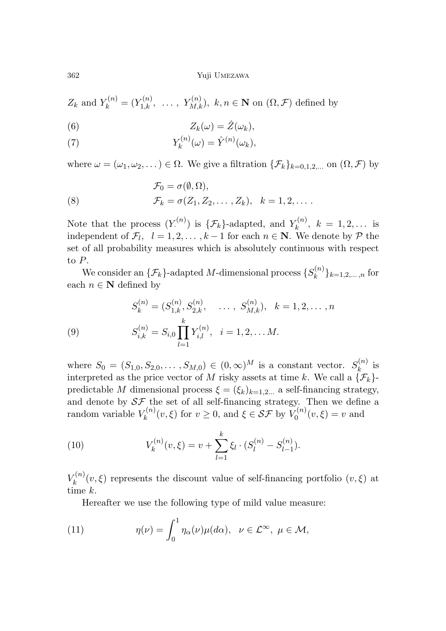$Z_k$  and  $Y_k^{(n)} = (Y_{1,k}^{(n)}, \ldots, Y_{M,k}^{(n)}), k, n \in \mathbb{N}$  on  $(\Omega, \mathcal{F})$  defined by

(6) 
$$
Z_k(\omega) = \hat{Z}(\omega_k),
$$

(7) 
$$
Y_k^{(n)}(\omega) = \hat{Y}^{(n)}(\omega_k),
$$

where  $\omega = (\omega_1, \omega_2, \dots) \in \Omega$ . We give a filtration  $\{\mathcal{F}_k\}_{k=0,1,2,\dots}$  on  $(\Omega, \mathcal{F})$  by

(8) 
$$
\mathcal{F}_0 = \sigma(\emptyset, \Omega), \n\mathcal{F}_k = \sigma(Z_1, Z_2, \dots, Z_k), \quad k = 1, 2, \dots.
$$

Note that the process  $(Y^{(n)}_k)$  is  $\{\mathcal{F}_k\}$ -adapted, and  $Y^{(n)}_k$ ,  $k = 1, 2, \ldots$  is independent of  $\mathcal{F}_l$ ,  $l = 1, 2, \ldots, k-1$  for each  $n \in \mathbb{N}$ . We denote by  $\mathcal{P}$  the set of all probability measures which is absolutely continuous with respect to *P*.

We consider an  $\{\mathcal{F}_k\}$ -adapted *M*-dimensional process  $\{S_k^{(n)}\}_{k=1,2,\ldots,n}$  for each  $n \in \mathbb{N}$  defined by

(9) 
$$
S_k^{(n)} = (S_{1,k}^{(n)}, S_{2,k}^{(n)}, \dots, S_{M,k}^{(n)}), \quad k = 1, 2, \dots, n
$$

$$
S_{i,k}^{(n)} = S_{i,0} \prod_{l=1}^k Y_{i,l}^{(n)}, \quad i = 1, 2, \dots M.
$$

where  $S_0 = (S_{1,0}, S_{2,0}, \ldots, S_{M,0}) \in (0, \infty)^M$  is a constant vector.  $S_k^{(n)}$  is interpreted as the price vector of *M* risky assets at time *k*. We call a  $\{\mathcal{F}_k\}$ predictable *M* dimensional process  $\xi = (\xi_k)_{k=1,2...}$  a self-financing strategy, and denote by  $S\mathcal{F}$  the set of all self-financing strategy. Then we define a random variable  $V_k^{(n)}(v,\xi)$  for  $v \ge 0$ , and  $\xi \in \mathcal{SF}$  by  $V_0^{(n)}(v,\xi) = v$  and

(10) 
$$
V_k^{(n)}(v,\xi) = v + \sum_{l=1}^k \xi_l \cdot (S_l^{(n)} - S_{l-1}^{(n)}).
$$

 $V_k^{(n)}(v,\xi)$  represents the discount value of self-financing portfolio  $(v,\xi)$  at time *k*.

Hereafter we use the following type of mild value measure:

(11) 
$$
\eta(\nu) = \int_0^1 \eta_\alpha(\nu) \mu(d\alpha), \ \ \nu \in \mathcal{L}^\infty, \ \mu \in \mathcal{M},
$$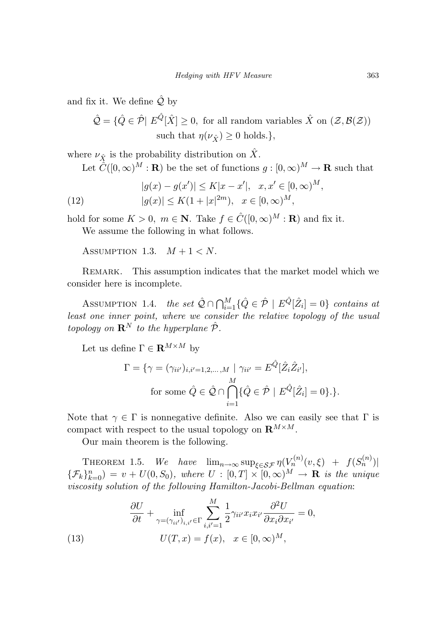and fix it. We define  $\hat{Q}$  by

 $\hat{\mathcal{Q}} = \{ \hat{Q} \in \hat{\mathcal{P}} \mid E^{\hat{Q}}[\hat{X}] \geq 0$ , for all random variables  $\hat{X}$  on  $(\mathcal{Z}, \mathcal{B}(\mathcal{Z}))$ such that  $\eta(\nu_{\hat{Y}}) \geq 0$  holds.},

where  $\nu_{\hat{X}}$  is the probability distribution on  $\hat{X}$ .

Let  $\hat{C}([0,\infty)^M : \mathbf{R})$  be the set of functions  $g : [0,\infty)^M \to \mathbf{R}$  such that

(12) 
$$
|g(x) - g(x')| \le K|x - x'|, \quad x, x' \in [0, \infty)^M,
$$

$$
|g(x)| \le K(1 + |x|^{2m}), \quad x \in [0, \infty)^M,
$$

hold for some  $K > 0$ ,  $m \in \mathbb{N}$ . Take  $f \in \hat{C}([0,\infty)^M : \mathbb{R})$  and fix it.

We assume the following in what follows.

ASSUMPTION 1.3.  $M+1 < N$ .

Remark. This assumption indicates that the market model which we consider here is incomplete.

ASSUMPTION 1.4. the set  $\hat{\mathcal{Q}} \cap \bigcap_{i=1}^{M} \{ \hat{Q} \in \hat{\mathcal{P}} \mid E^{\hat{Q}}[\hat{Z}_i] = 0 \}$  contains at least one inner point, where we consider the relative topology of the usual topology on  $\mathbb{R}^N$  to the hyperplane  $\hat{\mathcal{P}}$ .

Let us define  $\Gamma \in \mathbf{R}^{M \times M}$  by

$$
\Gamma = \{ \gamma = (\gamma_{ii'})_{i,i'=1,2,\dots,M} \mid \gamma_{ii'} = E^{\hat{Q}}[\hat{Z}_i \hat{Z}_{i'}],
$$
  
for some  $\hat{Q} \in \hat{Q} \cap \bigcap_{i=1}^M \{ \hat{Q} \in \hat{\mathcal{P}} \mid E^{\hat{Q}}[\hat{Z}_i] = 0 \}.\}$ .

Note that  $\gamma \in \Gamma$  is nonnegative definite. Also we can easily see that  $\Gamma$  is compact with respect to the usual topology on  $\mathbf{R}^{M \times M}$ .

Our main theorem is the following.

THEOREM 1.5. We have  $\lim_{n\to\infty} \sup_{\xi \in \mathcal{SF}} \eta(V_n^{(n)}(v,\xi) + f(S_n^{(n)})$  ${\{\mathcal{F}_k\}}_{k=0}^n$  =  $v + U(0, S_0)$ , where  $U : [0, T] \times [0, \infty)^M \rightarrow \mathbf{R}$  is the unique viscosity solution of the following Hamilton-Jacobi-Bellman equation:

(13) 
$$
\frac{\partial U}{\partial t} + \inf_{\gamma = (\gamma_{ii'})_{i,i'} \in \Gamma} \sum_{i,i'=1}^{M} \frac{1}{2} \gamma_{ii'} x_i x_{i'} \frac{\partial^2 U}{\partial x_i \partial x_{i'}} = 0,
$$

$$
U(T, x) = f(x), \quad x \in [0, \infty)^M,
$$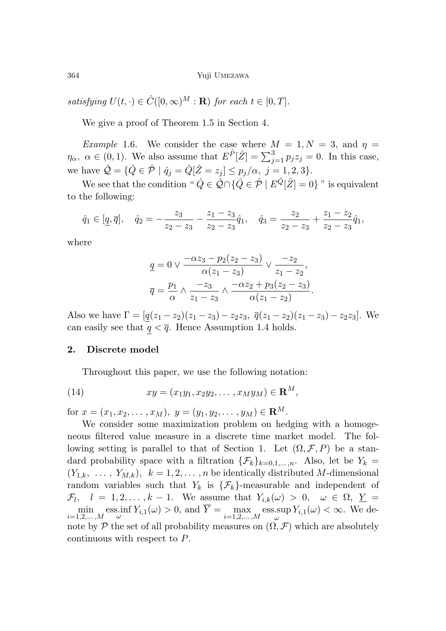satisfying  $U(t, \cdot) \in \hat{C}([0,\infty)^M : \mathbf{R})$  for each  $t \in [0,T]$ .

We give a proof of Theorem 1.5 in Section 4.

*Example* 1.6. We consider the case where  $M = 1, N = 3$ , and  $\eta =$ *η*<sub>α</sub>,  $\alpha \in (0, 1)$ . We also assume that  $E^{\hat{P}}[\hat{Z}] = \sum_{j=1}^{3} p_j z_j = 0$ . In this case, we have  $\hat{Q} = \{\hat{Q} \in \hat{\mathcal{P}} \mid \hat{q}_j = \hat{Q}[\hat{Z} = z_j] \leq p_j/\alpha, \ j = 1, 2, 3\}.$ 

We see that the condition "  $\hat{Q} \in \hat{\mathcal{Q}} \cap \{\hat{Q} \in \hat{\mathcal{P}} \mid E^{\hat{Q}}[\hat{Z}] = 0\}$ " is equivalent to the following:

$$
\hat{q}_1 \in [\underline{q}, \overline{q}], \quad \hat{q}_2 = -\frac{z_3}{z_2 - z_3} - \frac{z_1 - z_3}{z_2 - z_3} \hat{q}_1, \quad \hat{q}_3 = \frac{z_2}{z_2 - z_3} + \frac{z_1 - z_2}{z_2 - z_3} \hat{q}_1,
$$

where

$$
\underline{q} = 0 \vee \frac{-\alpha z_3 - p_2(z_2 - z_3)}{\alpha(z_1 - z_3)} \vee \frac{-z_2}{z_1 - z_2},
$$

$$
\overline{q} = \frac{p_1}{\alpha} \wedge \frac{-z_3}{z_1 - z_3} \wedge \frac{-\alpha z_2 + p_3(z_2 - z_3)}{\alpha(z_1 - z_2)}.
$$

Also we have  $\Gamma = [q(z_1 - z_2)(z_1 - z_3) - z_2z_3, \ \overline{q}(z_1 - z_2)(z_1 - z_3) - z_2z_3].$  We can easily see that  $q < \overline{q}$ . Hence Assumption 1.4 holds.

# **2. Discrete model**

Throughout this paper, we use the following notation:

(14) 
$$
xy = (x_1y_1, x_2y_2, \dots, x_My_M) \in \mathbf{R}^M,
$$

for  $x = (x_1, x_2, \ldots, x_M)$ ,  $y = (y_1, y_2, \ldots, y_M) \in \mathbb{R}^M$ .

We consider some maximization problem on hedging with a homogeneous filtered value measure in a discrete time market model. The following setting is parallel to that of Section 1. Let  $(\Omega, \mathcal{F}, P)$  be a standard probability space with a filtration  $\{\mathcal{F}_k\}_{k=0,1,\ldots,n}$ . Also, let be  $Y_k =$  $(Y_{1,k}, \ldots, Y_{M,k}), k = 1, 2, \ldots, n$  be identically distributed *M*-dimensional random variables such that  $Y_k$  is  $\{\mathcal{F}_k\}$ -measurable and independent of  $\mathcal{F}_l$ ,  $l = 1, 2, \ldots, k - 1$ . We assume that  $Y_{i,k}(\omega) > 0$ ,  $\omega \in \Omega$ ,  $\underline{Y} =$  $\min_{i=1,2,\ldots,M} \text{ess.inf } Y_{i,1}(\omega) > 0$ , and  $\overline{Y} = \max_{i=1,2,\ldots,M} \text{ess-sup}$  $\sup_{\omega} Y_{i,1}(\omega) < \infty$ . We denote by  $\mathcal P$  the set of all probability measures on  $(\Omega, \mathcal F)$  which are absolutely continuous with respect to *P*.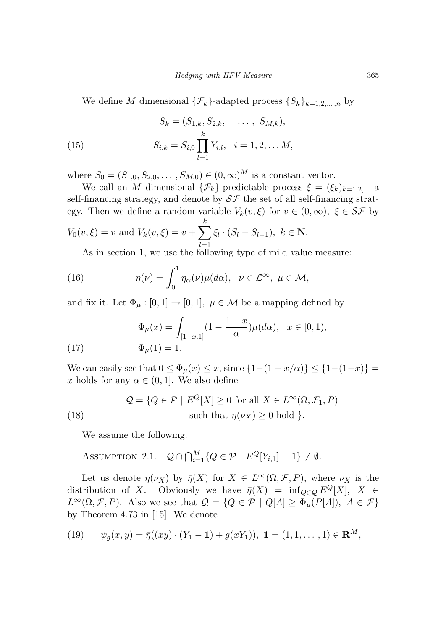We define *M* dimensional  $\{\mathcal{F}_k\}$ -adapted process  $\{S_k\}_{k=1,2,\ldots,n}$  by

(15) 
$$
S_k = (S_{1,k}, S_{2,k}, \dots, S_{M,k}),
$$

$$
S_{i,k} = S_{i,0} \prod_{l=1}^k Y_{i,l}, \quad i = 1, 2, \dots M,
$$

where  $S_0 = (S_{1,0}, S_{2,0}, \ldots, S_{M,0}) \in (0, \infty)^M$  is a constant vector.

We call an *M* dimensional  $\{\mathcal{F}_k\}$ -predictable process  $\xi = (\xi_k)_{k=1,2,...}$  a self-financing strategy, and denote by  $S\mathcal{F}$  the set of all self-financing strategy. Then we define a random variable  $V_k(v,\xi)$  for  $v \in (0,\infty)$ ,  $\xi \in \mathcal{SF}$  by  $V_0(v,\xi) = v$  and  $V_k(v,\xi) = v + \sum$ *k ξ<sup>l</sup>* · (*S<sup>l</sup>* − *Sl*−1)*, k* ∈ **N**.

*l*=1 As in section 1, we use the following type of mild value measure:

(16) 
$$
\eta(\nu) = \int_0^1 \eta_\alpha(\nu) \mu(d\alpha), \ \ \nu \in \mathcal{L}^\infty, \ \mu \in \mathcal{M},
$$

and fix it. Let  $\Phi_{\mu} : [0,1] \to [0,1], \ \mu \in \mathcal{M}$  be a mapping defined by

(17) 
$$
\Phi_{\mu}(x) = \int_{[1-x,1]} (1 - \frac{1-x}{\alpha}) \mu(d\alpha), \quad x \in [0,1),
$$

$$
\Phi_{\mu}(1) = 1.
$$

We can easily see that  $0 \le \Phi_{\mu}(x) \le x$ , since  $\{1-(1-x/\alpha)\} \le \{1-(1-x)\}$ *x* holds for any  $\alpha \in (0,1]$ . We also define

(18) 
$$
Q = \{Q \in \mathcal{P} \mid E^{Q}[X] \ge 0 \text{ for all } X \in L^{\infty}(\Omega, \mathcal{F}_1, P) \text{ such that } \eta(\nu_X) \ge 0 \text{ hold } \}.
$$

We assume the following.

$$
\text{Assumption 2.1.} \quad \mathcal{Q} \cap \bigcap_{i=1}^{M} \{ Q \in \mathcal{P} \mid E^{Q}[Y_{i,1}] = 1 \} \neq \emptyset.
$$

Let us denote  $\eta(\nu_X)$  by  $\bar{\eta}(X)$  for  $X \in L^{\infty}(\Omega, \mathcal{F}, P)$ , where  $\nu_X$  is the distribution of *X*. Obviously we have  $\bar{\eta}(X) = \inf_{Q \in \mathcal{Q}} E^Q[X], X \in$  $L^{\infty}(\Omega, \mathcal{F}, P)$ . Also we see that  $\mathcal{Q} = \{Q \in \mathcal{P} \mid Q[A] \geq \Phi_{\mu}(P[A]), A \in \mathcal{F}\}\$ by Theorem 4.73 in [15]. We denote

(19) 
$$
\psi_g(x,y) = \bar{\eta}((xy) \cdot (Y_1 - \mathbf{1}) + g(xY_1)), \ \mathbf{1} = (1,1,\dots,1) \in \mathbf{R}^M,
$$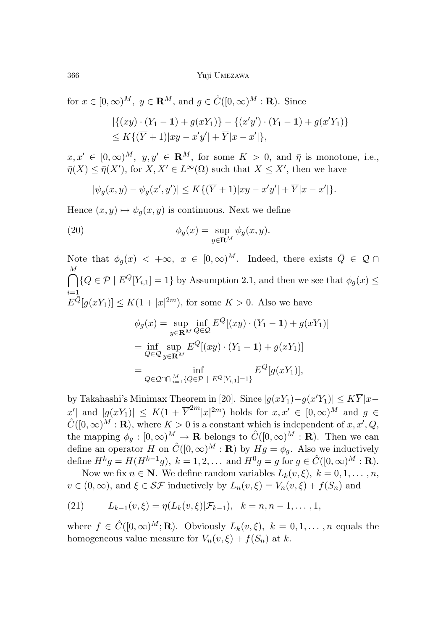for  $x \in [0, \infty)^M$ ,  $y \in \mathbb{R}^M$ , and  $g \in \hat{C}([0, \infty)^M : \mathbb{R})$ . Since

$$
|\{(xy) \cdot (Y_1 - \mathbf{1}) + g(xY_1)\} - \{(x'y') \cdot (Y_1 - \mathbf{1}) + g(x'Y_1)\}|
$$
  
\$\le K\{(\overline{Y} + 1)|xy - x'y'| + \overline{Y}|x - x'|\},\$

 $x, x' \in [0, \infty)^M$ ,  $y, y' \in \mathbb{R}^M$ , for some  $K > 0$ , and  $\bar{\eta}$  is monotone, i.e.,  $\bar{\eta}(X) \leq \bar{\eta}(X')$ , for  $X, X' \in L^{\infty}(\Omega)$  such that  $X \leq X'$ , then we have

$$
|\psi_g(x, y) - \psi_g(x', y')| \le K\{(\overline{Y} + 1)|xy - x'y'| + \overline{Y}|x - x'|\}.
$$

Hence  $(x, y) \mapsto \psi_q(x, y)$  is continuous. Next we define

(20) 
$$
\phi_g(x) = \sup_{y \in \mathbf{R}^M} \psi_g(x, y).
$$

Note that  $\phi_g(x) < +\infty$ ,  $x \in [0,\infty)^M$ . Indeed, there exists  $\overline{Q} \in \mathcal{Q} \cap$ ∩ *M i*=1  ${Q \in \mathcal{P} \mid E^Q[Y_{i,1}]=1}$  by Assumption 2.1, and then we see that  $\phi_g(x) \leq$  $E^{\bar{Q}}[g(xY_1)] \le K(1+|x|^{2m})$ , for some  $K > 0$ . Also we have

$$
\phi_g(x) = \sup_{y \in \mathbf{R}^M} \inf_{Q \in \mathcal{Q}} E^Q[(xy) \cdot (Y_1 - \mathbf{1}) + g(xY_1)]
$$
  
= 
$$
\inf_{Q \in \mathcal{Q}} \sup_{y \in \mathbf{R}^M} E^Q[(xy) \cdot (Y_1 - \mathbf{1}) + g(xY_1)]
$$
  
= 
$$
\inf_{Q \in \mathcal{Q} \cap \bigcap_{i=1}^M \{Q \in \mathcal{P} \mid E^Q[Y_{i,1}]=1\}} E^Q[g(xY_1)],
$$

by Takahashi's Minimax Theorem in [20]. Since  $|g(xY_1) - g(x'Y_1)| \leq K\overline{Y}|x$  $x'$ | and  $|g(xY_1)| \leq K(1 + \overline{Y}^{2m}|x|^{2m})$  holds for  $x, x' \in [0, \infty)^M$  and  $g \in$  $\hat{C}([0,\infty)^M : \mathbf{R})$ , where  $K > 0$  is a constant which is independent of  $x, x', Q$ , the mapping  $\phi_g : [0, \infty)^M \to \mathbf{R}$  belongs to  $\hat{C}([0, \infty)^M : \mathbf{R})$ . Then we can define an operator *H* on  $\hat{C}([0,\infty)^M : \mathbf{R})$  by  $Hg = \phi_g$ . Also we inductively define  $H^k g = H(H^{k-1}g)$ ,  $k = 1, 2, ...$  and  $H^0 g = g$  for  $g \in \hat{C}([0, \infty)^M : \mathbf{R})$ .

Now we fix  $n \in \mathbb{N}$ . We define random variables  $L_k(v, \xi)$ ,  $k = 0, 1, \ldots, n$ ,  $v \in (0, \infty)$ , and  $\xi \in \mathcal{SF}$  inductively by  $L_n(v, \xi) = V_n(v, \xi) + f(S_n)$  and

(21) 
$$
L_{k-1}(v,\xi) = \eta(L_k(v,\xi)|\mathcal{F}_{k-1}), \quad k = n, n-1, \ldots, 1,
$$

where  $f \in \hat{C}([0,\infty)^M; \mathbf{R})$ . Obviously  $L_k(v,\xi)$ ,  $k = 0,1,...,n$  equals the homogeneous value measure for  $V_n(v, \xi) + f(S_n)$  at *k*.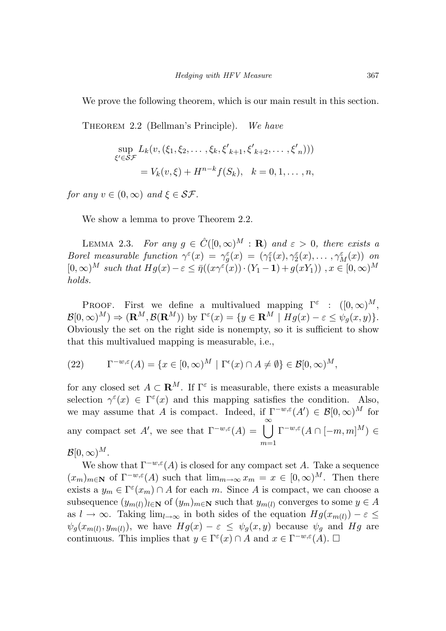We prove the following theorem, which is our main result in this section.

THEOREM 2.2 (Bellman's Principle). We have

$$
\sup_{\xi' \in \mathcal{SF}} L_k(v, (\xi_1, \xi_2, \dots, \xi_k, \xi'_{k+1}, \xi'_{k+2}, \dots, \xi'_{n})))
$$
  
=  $V_k(v, \xi) + H^{n-k} f(S_k), \quad k = 0, 1, \dots, n,$ 

for any  $v \in (0, \infty)$  and  $\xi \in \mathcal{SF}$ .

We show a lemma to prove Theorem 2.2.

LEMMA 2.3. For any  $g \in \hat{C}([0,\infty)^M : \mathbf{R})$  and  $\varepsilon > 0$ , there exists a Borel measurable function  $\gamma^{\varepsilon}(x) = \gamma^{\varepsilon}_g(x) = (\gamma^{\varepsilon}_1(x), \gamma^{\varepsilon}_2(x), \dots, \gamma^{\varepsilon}_M(x))$  on  $[0,\infty)^M$  such that  $Hg(x) - \varepsilon \leq \bar{\eta}((x\gamma^{\varepsilon}(x)) \cdot (Y_1 - 1) + g(xY_1))$ ,  $x \in [0,\infty)^M$ holds.

PROOF. First we define a multivalued mapping  $\Gamma^{\varepsilon}$  :  $([0,\infty)^{M},$  $\mathcal{B}[0,\infty)^M$ )  $\Rightarrow$   $(\mathbf{R}^M,\mathcal{B}(\mathbf{R}^M))$  by  $\Gamma^{\varepsilon}(x) = \{y \in \mathbf{R}^M \mid Hg(x) - \varepsilon \leq \psi_q(x,y)\}.$ Obviously the set on the right side is nonempty, so it is sufficient to show that this multivalued mapping is measurable, i.e.,

(22) 
$$
\Gamma^{-w,\varepsilon}(A) = \{x \in [0,\infty)^M \mid \Gamma^{\varepsilon}(x) \cap A \neq \emptyset\} \in \mathcal{B}[0,\infty)^M,
$$

for any closed set  $A \subset \mathbf{R}^M$ . If  $\Gamma^{\varepsilon}$  is measurable, there exists a measurable selection  $\gamma^{\varepsilon}(x) \in \Gamma^{\varepsilon}(x)$  and this mapping satisfies the condition. Also, we may assume that *A* is compact. Indeed, if  $\Gamma^{-w,\varepsilon}(A') \in \mathcal{B}[0,\infty)^M$  for any compact set *A*', we see that  $\Gamma^{-w,\varepsilon}(A) = \begin{bmatrix} \infty \\ \infty \end{bmatrix}$ *m*=1  $\Gamma^{-w,\varepsilon}(A\cap[-m,m]^M)\in$  $\mathcal{B}[0,\infty)^M$  .

We show that  $\Gamma^{-w,\varepsilon}(A)$  is closed for any compact set *A*. Take a sequence  $(x_m)_{m \in \mathbb{N}}$  of  $\Gamma^{-w,\varepsilon}(A)$  such that  $\lim_{m \to \infty} x_m = x \in [0,\infty)^M$ . Then there exists a  $y_m \in \Gamma^{\varepsilon}(x_m) \cap A$  for each *m*. Since *A* is compact, we can choose a subsequence  $(y_{m(l)})_{l \in \mathbb{N}}$  of  $(y_m)_{m \in \mathbb{N}}$  such that  $y_{m(l)}$  converges to some  $y \in A$ as  $l \to \infty$ . Taking  $\lim_{l \to \infty}$  in both sides of the equation  $Hg(x_{m(l)}) - \varepsilon \leq$  $\psi_g(x_{m(l)}, y_{m(l)})$ , we have  $Hg(x) - \varepsilon \leq \psi_g(x, y)$  because  $\psi_g$  and  $Hg$  are continuous. This implies that  $y \in \Gamma^{\varepsilon}(x) \cap A$  and  $x \in \Gamma^{-w,\varepsilon}(A)$ .  $\Box$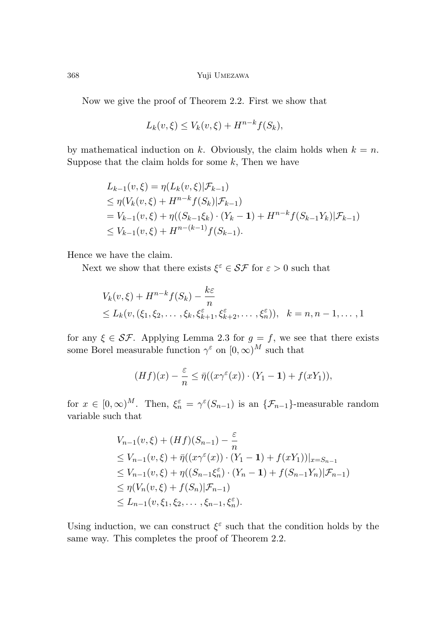Now we give the proof of Theorem 2.2. First we show that

$$
L_k(v,\xi) \le V_k(v,\xi) + H^{n-k}f(S_k),
$$

by mathematical induction on  $k$ . Obviously, the claim holds when  $k = n$ . Suppose that the claim holds for some *k*, Then we have

$$
L_{k-1}(v,\xi) = \eta(L_k(v,\xi)|\mathcal{F}_{k-1})
$$
  
\n
$$
\leq \eta(V_k(v,\xi) + H^{n-k}f(S_k)|\mathcal{F}_{k-1})
$$
  
\n
$$
= V_{k-1}(v,\xi) + \eta((S_{k-1}\xi_k) \cdot (Y_k - 1) + H^{n-k}f(S_{k-1}Y_k)|\mathcal{F}_{k-1})
$$
  
\n
$$
\leq V_{k-1}(v,\xi) + H^{n-(k-1)}f(S_{k-1}).
$$

Hence we have the claim.

Next we show that there exists  $\xi^{\varepsilon} \in \mathcal{SF}$  for  $\varepsilon > 0$  such that

$$
V_k(v,\xi) + H^{n-k}f(S_k) - \frac{k\varepsilon}{n}
$$
  
\n
$$
\leq L_k(v, (\xi_1, \xi_2, \dots, \xi_k, \xi_{k+1}^{\varepsilon}, \xi_{k+2}^{\varepsilon}, \dots, \xi_n^{\varepsilon})), \quad k = n, n - 1, \dots, 1
$$

for any  $\xi \in \mathcal{SF}$ . Applying Lemma 2.3 for  $g = f$ , we see that there exists some Borel measurable function  $\gamma^{\varepsilon}$  on  $[0,\infty)^M$  such that

$$
(Hf)(x) - \frac{\varepsilon}{n} \leq \bar{\eta}((x\gamma^{\varepsilon}(x)) \cdot (Y_1 - \mathbf{1}) + f(xY_1)),
$$

for  $x \in [0, \infty)^M$ . Then,  $\xi_n^{\varepsilon} = \gamma^{\varepsilon}(S_{n-1})$  is an  $\{\mathcal{F}_{n-1}\}$ -measurable random variable such that

$$
V_{n-1}(v,\xi) + (Hf)(S_{n-1}) - \frac{\varepsilon}{n}
$$
  
\n
$$
\leq V_{n-1}(v,\xi) + \bar{\eta}((x\gamma^{\varepsilon}(x)) \cdot (Y_1 - 1) + f(xY_1))|_{x = S_{n-1}}
$$
  
\n
$$
\leq V_{n-1}(v,\xi) + \eta((S_{n-1}\xi_n^{\varepsilon}) \cdot (Y_n - 1) + f(S_{n-1}Y_n)|\mathcal{F}_{n-1})
$$
  
\n
$$
\leq \eta(V_n(v,\xi) + f(S_n)|\mathcal{F}_{n-1})
$$
  
\n
$$
\leq L_{n-1}(v,\xi_1,\xi_2,\ldots,\xi_{n-1},\xi_n^{\varepsilon}).
$$

Using induction, we can construct  $\xi^{\varepsilon}$  such that the condition holds by the same way. This completes the proof of Theorem 2.2.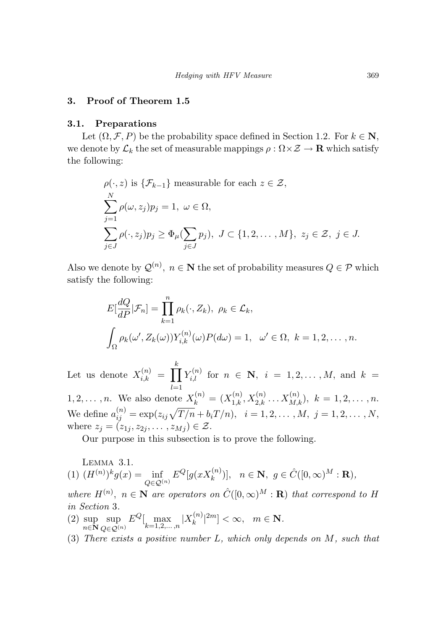# **3. Proof of Theorem 1.5**

### **3.1. Preparations**

Let  $(\Omega, \mathcal{F}, P)$  be the probability space defined in Section 1.2. For  $k \in \mathbb{N}$ , we denote by  $\mathcal{L}_k$  the set of measurable mappings  $\rho : \Omega \times \mathcal{Z} \to \mathbf{R}$  which satisfy the following:

$$
\rho(\cdot, z) \text{ is } \{\mathcal{F}_{k-1}\}\text{ measurable for each } z \in \mathcal{Z},
$$
\n
$$
\sum_{j=1}^{N} \rho(\omega, z_j) p_j = 1, \ \omega \in \Omega,
$$
\n
$$
\sum_{j \in J} \rho(\cdot, z_j) p_j \ge \Phi_\mu(\sum_{j \in J} p_j), \ J \subset \{1, 2, \dots, M\}, \ z_j \in \mathcal{Z}, \ j \in J.
$$

Also we denote by  $\mathcal{Q}^{(n)}$ ,  $n \in \mathbb{N}$  the set of probability measures  $Q \in \mathcal{P}$  which satisfy the following:

$$
E\left[\frac{dQ}{dP}|\mathcal{F}_n\right] = \prod_{k=1}^n \rho_k(\cdot, Z_k), \ \rho_k \in \mathcal{L}_k,
$$
  

$$
\int_{\Omega} \rho_k(\omega', Z_k(\omega)) Y_{i,k}^{(n)}(\omega) P(d\omega) = 1, \ \omega' \in \Omega, \ k = 1, 2, \dots, n.
$$

Let us denote  $X_{i,k}^{(n)} = \prod$  $\prod_{i=1}^{k} Y_{i,l}^{(n)}$  for  $n \in \mathbb{N}, i = 1, 2, ..., M$ , and  $k =$ *l*=1 1*,* 2*,...*, *n*. We also denote  $X_k^{(n)} = (X_{1,k}^{(n)}, X_{2,k}^{(n)} \dots X_{M,k}^{(n)}), k = 1, 2, \dots, n$ .  $\text{We define } a_{ij}^{(n)} = \exp(z_{ij}\sqrt{T/n} + b_i T/n), \ \ i = 1, 2, \ldots, M, \ j = 1, 2, \ldots, N,$ where  $z_j = (z_{1j}, z_{2j}, \ldots, z_{Mj}) \in \mathcal{Z}$ .

Our purpose in this subsection is to prove the following.

Lemma 3.1. (1)  $(H^{(n)})^k g(x) = \inf$ *Q*∈Q(n)  $E^{Q}[g(xX_k^{(n)})], \quad n \in \mathbb{N}, \ g \in \hat{C}([0,\infty)^M : \mathbb{R}),$ 

where  $H^{(n)}$ ,  $n \in \mathbb{N}$  are operators on  $\hat{C}([0,\infty)^M : \mathbb{R})$  that correspond to H in Section 3.

- (2) sup *n*∈**N** sup *Q*∈Q(n)  $E^Q[\max_{k=1,2,...,n} |X_k^{(n)}|^{2m}] < \infty, \quad m \in \mathbb{N}.$
- (3) There exists a positive number *L*, which only depends on *M*, such that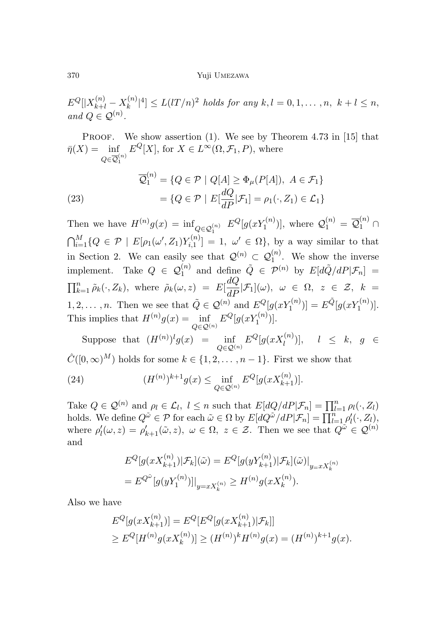$E^Q[|X^{(n)}_{k+l} - X^{(n)}_k|^4] \le L( lT/n)^2$  holds for any  $k, l = 0, 1, ..., n, k+l \le n$ , and  $Q \in \mathcal{Q}^{(n)}$ .

PROOF. We show assertion  $(1)$ . We see by Theorem 4.73 in [15] that  $\bar{\eta}(X) = \inf$  $Q{\in}\overline{\mathcal Q}{}_1^{\left(n\right)}$  $E^{Q}[X]$ , for  $X \in L^{\infty}(\Omega, \mathcal{F}_1, P)$ , where

(23) 
$$
\overline{\mathcal{Q}}_1^{(n)} = \{ Q \in \mathcal{P} \mid Q[A] \ge \Phi_\mu(P[A]), \ A \in \mathcal{F}_1 \}
$$

$$
= \{ Q \in \mathcal{P} \mid E[\frac{dQ}{dP} | \mathcal{F}_1] = \rho_1(\cdot, Z_1) \in \mathcal{L}_1 \}
$$

Then we have  $H^{(n)}g(x) = \inf_{Q \in \mathcal{Q}_1^{(n)}} E^Q[g(xY_1^{(n)})],$  where  $\mathcal{Q}_1^{(n)} = \overline{\mathcal{Q}}_1^{(n)} \cap$  $\bigcap_{i=1}^{M} \{Q \in \mathcal{P} \mid E[\rho_1(\omega', Z_1)Y_{i,1}^{(n)}] = 1, \omega' \in \Omega\}$ , by a way similar to that in Section 2. We can easily see that  $\mathcal{Q}^{(n)} \subset \mathcal{Q}_1^{(n)}$ . We show the inverse implement. Take  $Q \in \mathcal{Q}_1^{(n)}$  and define  $\tilde{Q} \in \mathcal{P}^{(n)}$  by  $E[d\tilde{Q}/dP|\mathcal{F}_n] =$  $\prod_{k=1}^{n} \tilde{\rho}_k(\cdot, Z_k)$ , where  $\tilde{\rho}_k(\omega, z) = E[\frac{dQ}{dP} | \mathcal{F}_1](\omega)$ ,  $\omega \in \Omega$ ,  $z \in \mathcal{Z}$ ,  $k =$ 1, 2, ..., n. Then we see that  $\tilde{Q} \in \mathcal{Q}^{(n)}$  and  $E^Q[g(xY_1^{(n)})] = E^{\tilde{Q}}[g(xY_1^{(n)})]$ . This implies that  $H^{(n)}g(x) = \inf$ *Q*∈Q(n)  $E^{Q}[g(xY_1^{(n)})].$ 

Suppose that  $(H^{(n)})^l g(x) = \inf$ *Q*∈Q(n)  $E^{Q}[g(xX_{l}^{(n)})], \quad l \leq k, g \in$  $\hat{C}([0,\infty)^M)$  holds for some  $k \in \{1,2,\ldots,n-1\}$ . First we show that

(24) 
$$
(H^{(n)})^{k+1}g(x) \leq \inf_{Q \in \mathcal{Q}^{(n)}} E^Q[g(xX_{k+1}^{(n)})].
$$

Take  $Q \in \mathcal{Q}^{(n)}$  and  $\rho_l \in \mathcal{L}_l$ ,  $l \leq n$  such that  $E[dQ/dP|\mathcal{F}_n] = \prod_{l=1}^n \rho_l(\cdot, Z_l)$ holds. We define  $Q^{\tilde{\omega}} \in \mathcal{P}$  for each  $\tilde{\omega} \in \Omega$  by  $E[dQ^{\tilde{\omega}}/dP|\mathcal{F}_n] = \prod_{l=1}^n \rho'_l(\cdot, Z_l)$ , where  $\rho'_{l}(\omega, z) = \rho'_{k+1}(\tilde{\omega}, z)$ ,  $\omega \in \Omega$ ,  $z \in \mathcal{Z}$ . Then we see that  $Q^{\tilde{\omega}} \in \mathcal{Q}^{(n)}$ and

$$
E^{Q}[g(xX_{k+1}^{(n)})|\mathcal{F}_{k}](\tilde{\omega}) = E^{Q}[g(yY_{k+1}^{(n)})|\mathcal{F}_{k}](\tilde{\omega})|_{y=xX_{k}^{(n)}}
$$
  
= 
$$
E^{Q^{\tilde{\omega}}}[g(yY_{1}^{(n)})]|_{y=xX_{k}^{(n)}} \geq H^{(n)}g(xX_{k}^{(n)}).
$$

Also we have

$$
E^{Q}[g(xX_{k+1}^{(n)})] = E^{Q}[E^{Q}[g(xX_{k+1}^{(n)}) | \mathcal{F}_k]]
$$
  
\n
$$
\geq E^{Q}[H^{(n)}g(xX_k^{(n)})] \geq (H^{(n)})^k H^{(n)}g(x) = (H^{(n)})^{k+1}g(x).
$$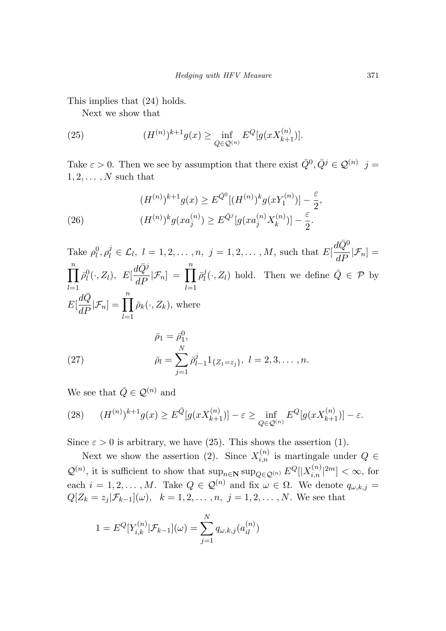This implies that (24) holds.

Next we show that

(25) 
$$
(H^{(n)})^{k+1}g(x) \ge \inf_{Q \in \mathcal{Q}^{(n)}} E^Q[g(xX_{k+1}^{(n)})].
$$

Take  $\varepsilon > 0$ . Then we see by assumption that there exist  $\overline{Q}^0$ ,  $\overline{Q}^j \in \mathcal{Q}^{(n)}$  *j* =  $1, 2, \ldots, N$  such that

(26) 
$$
(H^{(n)})^{k+1}g(x) \ge E^{\bar{Q}^0}[(H^{(n)})^k g(xY_1^{(n)})] - \frac{\varepsilon}{2},
$$

$$
(H^{(n)})^k g(xa_j^{(n)}) \ge E^{\bar{Q}^j}[g(xa_j^{(n)}X_k^{(n)})] - \frac{\varepsilon}{2}.
$$

Take  $\rho_l^0, \rho_l^j \in \mathcal{L}_l$ ,  $l = 1, 2, ..., n$ ,  $j = 1, 2, ..., M$ , such that  $E[$  $d\bar{Q}^0$  $\frac{d\mathcal{L}}{dP}$   $|\mathcal{F}_n] =$  $\prod$ <sup>*n*</sup> *l*=1  $\bar{\rho}_l^0(\cdot, Z_l)$ , E[  $\frac{d\bar{Q}^j}{dP}$ <sup>*j*</sup> $\mathcal{F}_n$ ] =  $\prod_{l=1}^n$  $\bar{\rho}_l^j(\cdot, Z_l)$  hold. Then we define  $\bar{Q} \in \mathcal{P}$  by  $E\left[\frac{d\bar{Q}}{dP}|\mathcal{F}_n\right] = \prod_{l=1}^n$  $\bar{\rho}_k(\cdot, Z_k)$ , where  $\bar{\rho}_1 = \bar{\rho}_1^0,$ 

(27) 
$$
\bar{\rho}_l = \sum_{j=1}^N \bar{\rho}_{l-1}^j 1_{\{Z_1 = z_j\}}, \ l = 2, 3, \dots, n.
$$

We see that  $\bar{Q}\in \mathcal{Q}^{(n)}$  and

(28) 
$$
(H^{(n)})^{k+1}g(x) \ge E^{\bar{Q}}[g(xX_{k+1}^{(n)})] - \varepsilon \ge \inf_{Q \in \mathcal{Q}^{(n)}} E^Q[g(xX_{k+1}^{(n)})] - \varepsilon.
$$

Since  $\varepsilon > 0$  is arbitrary, we have (25). This shows the assertion (1).

Next we show the assertion (2). Since  $X_{i,n}^{(n)}$  is martingale under  $Q \in$  $\mathcal{Q}^{(n)}$ , it is sufficient to show that  $\sup_{n\in\mathbb{N}} \sup_{Q\in\mathcal{Q}^{(n)}} E^Q[|X_{i,n}^{(n)}|^{2m}] < \infty$ , for each  $i = 1, 2, \ldots, M$ . Take  $Q \in \mathcal{Q}^{(n)}$  and fix  $\omega \in \Omega$ . We denote  $q_{\omega, k, j} =$  $Q[Z_k = z_j | \mathcal{F}_{k-1}](\omega)$ ,  $k = 1, 2, ..., n, j = 1, 2, ..., N$ . We see that

$$
1 = E^{Q}[Y_{i,k}^{(n)} | \mathcal{F}_{k-1}](\omega) = \sum_{j=1}^{N} q_{\omega,k,j}(a_{il}^{(n)})
$$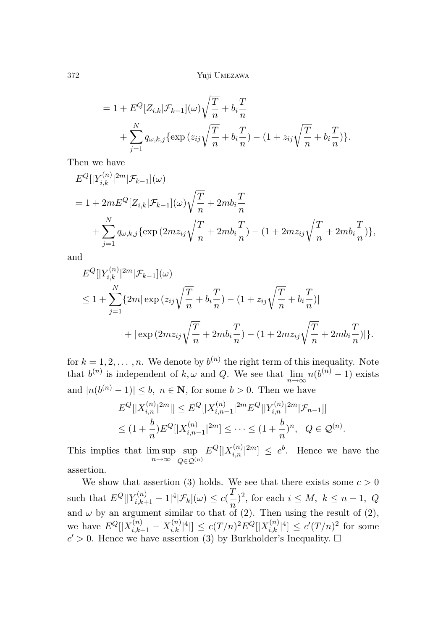$$
= 1 + E^{Q}[Z_{i,k}|\mathcal{F}_{k-1}](\omega)\sqrt{\frac{T}{n}} + b_i \frac{T}{n} + \sum_{j=1}^{N} q_{\omega,k,j} \{ \exp(z_{ij}\sqrt{\frac{T}{n}} + b_i \frac{T}{n}) - (1 + z_{ij}\sqrt{\frac{T}{n}} + b_i \frac{T}{n}) \}.
$$

Then we have

$$
E^{Q}[|Y_{i,k}^{(n)}|^{2m}|\mathcal{F}_{k-1}](\omega)
$$
  
= 1 + 2mE^{Q}[Z\_{i,k}|\mathcal{F}\_{k-1}](\omega)\sqrt{\frac{T}{n}} + 2mb\_i\frac{T}{n}  
+ 
$$
\sum_{j=1}^{N} q_{\omega,k,j} \{ \exp(2mz_{ij}\sqrt{\frac{T}{n}} + 2mb_i\frac{T}{n}) - (1 + 2mz_{ij}\sqrt{\frac{T}{n}} + 2mb_i\frac{T}{n}) \},
$$

and

$$
E^{Q}[|Y_{i,k}^{(n)}|^{2m}|\mathcal{F}_{k-1}](\omega)
$$
  
\n
$$
\leq 1 + \sum_{j=1}^{N} \{2m |\exp(z_{ij}\sqrt{\frac{T}{n}} + b_{i}\frac{T}{n}) - (1 + z_{ij}\sqrt{\frac{T}{n}} + b_{i}\frac{T}{n})|
$$
  
\n
$$
+ |\exp(2mz_{ij}\sqrt{\frac{T}{n}} + 2mb_{i}\frac{T}{n}) - (1 + 2mz_{ij}\sqrt{\frac{T}{n}} + 2mb_{i}\frac{T}{n})|\}.
$$

for  $k = 1, 2, \ldots, n$ . We denote by  $b^{(n)}$  the right term of this inequality. Note that  $b^{(n)}$  is independent of  $k, \omega$  and  $Q$ . We see that  $\lim_{n\to\infty} n(b^{(n)}-1)$  exists and  $|n(b^{(n)}-1)| \leq b$ ,  $n \in \mathbb{N}$ , for some  $b > 0$ . Then we have

$$
E^{Q}[|X_{i,n}^{(n)}|^{2m}]| \leq E^{Q}[|X_{i,n-1}^{(n)}|^{2m}E^{Q}[|Y_{i,n}^{(n)}|^{2m}|\mathcal{F}_{n-1}]]
$$
  

$$
\leq (1+\frac{b}{n})E^{Q}[|X_{i,n-1}^{(n)}|^{2m}] \leq \cdots \leq (1+\frac{b}{n})^n, \quad Q \in \mathcal{Q}^{(n)}
$$

*.*

This implies that lim sup *n*→∞ sup *Q*∈Q(n)  $E^Q[|X_{i,n}^{(n)}|^{2m}] \leq e^b$ . Hence we have the assertion.

We show that assertion (3) holds. We see that there exists some  $c > 0$  $\text{such that } E^Q[|Y_{i,k+1}^{(n)} - 1|^4 | \mathcal{F}_k](\omega) \le c(\frac{T}{n})^2, \text{ for each } i \le M, k \le n-1, Q$ and  $\omega$  by an argument similar to that of (2). Then using the result of (2),  $\mathbb{E} \left[ X_k^{(n)} \right] = \frac{1}{k!} \sum_{i,k=1}^{n} |X_{i,k}^{(n)}|^4 \left| \frac{1}{2} \right| \leq c(T/n)^2 E^Q[|X_{i,k}^{(n)}|^4] \leq c'(T/n)^2$  for some  $c' > 0$ . Hence we have assertion (3) by Burkholder's Inequality.  $\square$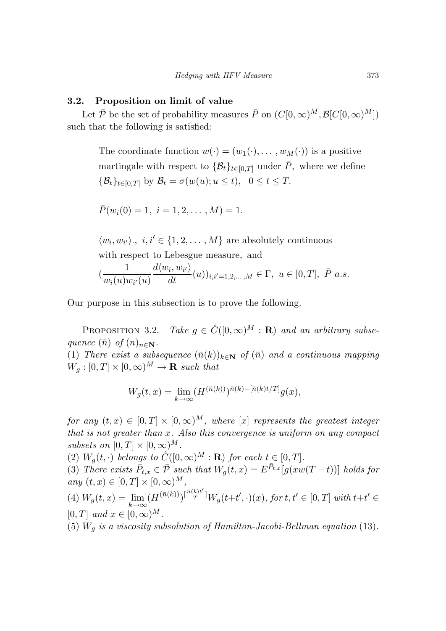#### **3.2. Proposition on limit of value**

Let  $\bar{\mathcal{P}}$  be the set of probability measures  $\bar{P}$  on  $(C[0,\infty)^M, \mathcal{B}[C[0,\infty)^M])$ such that the following is satisfied:

The coordinate function  $w(\cdot)=(w_1(\cdot),\ldots,w_M(\cdot))$  is a positive martingale with respect to  $\{\mathcal{B}_t\}_{t\in[0,T]}$  under  $\bar{P}$ , where we define  ${\mathcal{B}}_t$ <sub> $t \in [0,T]$ </sub> by  ${\mathcal{B}}_t = \sigma(w(u); u \le t)$ ,  $0 \le t \le T$ .

$$
\bar{P}(w_i(0) = 1, i = 1, 2, \dots, M) = 1.
$$

 $\langle w_i, w_{i'} \rangle$ ,  $i, i' \in \{1, 2, ..., M\}$  are absolutely continuous with respect to Lebesgue measure*,* and

$$
(\frac{1}{w_i(u)w_{i'}(u)}\frac{d\langle w_i, w_{i'}\rangle}{dt}(u))_{i,i'=1,2,\ldots,M}\in\Gamma,\ u\in[0,T],\ \bar{P}\ a.s.
$$

Our purpose in this subsection is to prove the following.

PROPOSITION 3.2. Take  $g \in \hat{C}([0,\infty)^M : \mathbf{R})$  and an arbitrary subsequence  $(\bar{n})$  of  $(n)_{n \in \mathbb{N}}$ .

(1) There exist a subsequence  $(\bar{n}(k))_{k \in \mathbb{N}}$  of  $(\bar{n})$  and a continuous mapping  $W_q : [0, T] \times [0, \infty)^M \to \mathbf{R}$  such that

$$
W_g(t,x) = \lim_{k \to \infty} (H^{(\bar{n}(k))})^{\bar{n}(k) - [\bar{n}(k)t/T]} g(x),
$$

for any  $(t, x) \in [0, T] \times [0, \infty)^M$ , where  $[x]$  represents the greatest integer that is not greater than *x*. Also this convergence is uniform on any compact subsets on  $[0, T] \times [0, \infty)^M$ .

(2)  $W_q(t, \cdot)$  belongs to  $\hat{C}([0, \infty)^M : \mathbf{R})$  for each  $t \in [0, T]$ .

(3) There exists  $\bar{P}_{t,x} \in \bar{\mathcal{P}}$  such that  $W_g(t,x) = E^{\bar{P}_{t,x}}[g(xw(T-t))]$  holds for  $any (t, x) \in [0, T] \times [0, \infty)^M,$ 

(4) 
$$
W_g(t, x) = \lim_{k \to \infty} (H^{(\bar{n}(k))})^{\left[\frac{\bar{n}(k)t'}{T}\right]} W_g(t + t', \cdot)(x)
$$
, for  $t, t' \in [0, T]$  with  $t + t' \in [0, T]$  and  $x \in [0, \infty)^M$ .

(5)  $W_g$  is a viscosity subsolution of Hamilton-Jacobi-Bellman equation (13).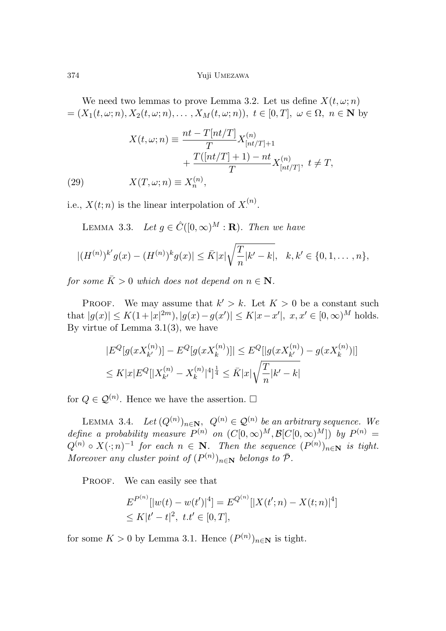We need two lemmas to prove Lemma 3.2. Let us define  $X(t, \omega; n)$  $=(X_1(t, \omega; n), X_2(t, \omega; n), \ldots, X_M(t, \omega; n)), t \in [0, T], \omega \in \Omega, n \in \mathbb{N}$  by

(29) 
$$
X(t,\omega;n) \equiv \frac{nt - T[nt/T]}{T} X_{[nt/T]+1}^{(n)} + \frac{T([nt/T] + 1) - nt}{T} X_{[nt/T]}^{(n)}, \ t \neq T,
$$

$$
X(T,\omega;n) \equiv X_n^{(n)},
$$

i.e.,  $X(t; n)$  is the linear interpolation of  $X^{(n)}$ .

LEMMA 3.3. Let  $g \in \hat{C}([0,\infty)^M : \mathbf{R})$ . Then we have

$$
|(H^{(n)})^{k'}g(x) - (H^{(n)})^k g(x)| \leq \bar{K}|x|\sqrt{\frac{T}{n}|k'-k|}, \quad k, k' \in \{0, 1, \dots, n\},\
$$

for some  $\bar{K} > 0$  which does not depend on  $n \in \mathbb{N}$ .

PROOF. We may assume that  $k' > k$ . Let  $K > 0$  be a constant such that  $|g(x)| \le K(1+|x|^{2m})$ ,  $|g(x)-g(x')| \le K|x-x'|$ ,  $x, x' \in [0,\infty)^M$  holds. By virtue of Lemma  $3.1(3)$ , we have

$$
|E^{Q}[g(xX_{k'}^{(n)})] - E^{Q}[g(xX_{k}^{(n)})]| \leq E^{Q}[|g(xX_{k'}^{(n)}) - g(xX_{k}^{(n)})|]
$$
  

$$
\leq K|x|E^{Q}[|X_{k'}^{(n)} - X_{k}^{(n)}|^4]^{\frac{1}{4}} \leq \bar{K}|x|\sqrt{\frac{T}{n}|k'-k|}
$$

for  $Q \in \mathcal{Q}^{(n)}$ . Hence we have the assertion.  $\Box$ 

LEMMA 3.4. Let  $(Q^{(n)})_{n\in\mathbb{N}}$ ,  $Q^{(n)} \in \mathcal{Q}^{(n)}$  be an arbitrary sequence. We define a probability measure  $P^{(n)}$  on  $(C[0,\infty)^M, \mathcal{B}[C[0,\infty)^M])$  by  $P^{(n)} =$  $Q^{(n)} \circ X(\cdot; n)^{-1}$  for each  $n \in \mathbb{N}$ . Then the sequence  $(P^{(n)})_{n \in \mathbb{N}}$  is tight. Moreover any cluster point of  $(P^{(n)})_{n\in\mathbb{N}}$  belongs to  $\bar{\mathcal{P}}$ .

PROOF. We can easily see that

$$
E^{P^{(n)}}[|w(t) - w(t')|^4] = E^{Q^{(n)}}[|X(t';n) - X(t;n)|^4]
$$
  
\n
$$
\leq K|t'-t|^2, \ t.t' \in [0,T],
$$

for some  $K > 0$  by Lemma 3.1. Hence  $(P^{(n)})_{n \in \mathbb{N}}$  is tight.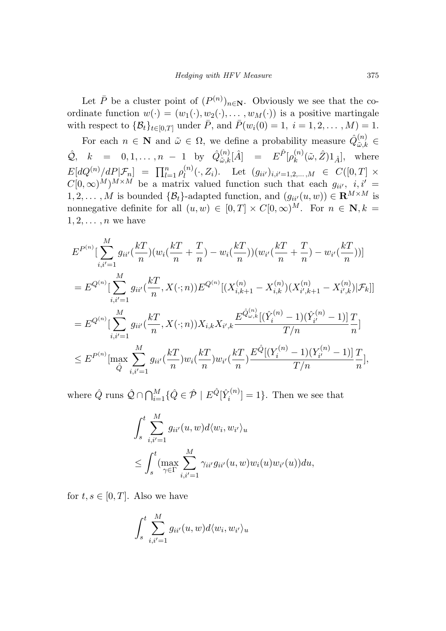Let  $\bar{P}$  be a cluster point of  $(P^{(n)})_{n\in\mathbb{N}}$ . Obviously we see that the coordinate function  $w(\cdot)=(w_1(\cdot), w_2(\cdot), \ldots, w_M(\cdot))$  is a positive martingale with respect to  $\{\mathcal{B}_t\}_{t \in [0,T]}$  under  $\bar{P}$ , and  $\bar{P}(w_i(0) = 1, i = 1, 2, ..., M) = 1$ .

For each  $n \in \mathbb{N}$  and  $\tilde{\omega} \in \Omega$ , we define a probability measure  $\hat{Q}_{\tilde{\omega},k}^{(n)} \in$  $\hat{\mathcal{Q}}$ ,  $k = 0, 1, ..., n - 1$  by  $\hat{Q}^{(n)}_{\tilde{\omega},k}[\hat{A}] = E^{\hat{P}}[\rho_k^{(n)}(\tilde{\omega}, \hat{Z})1_{\hat{A}}],$  where  $E[dQ^{(n)}/dP|\mathcal{F}_n] = \prod_{l=1}^n \rho_l^{(n)}(\cdot, Z_i)$ . Let  $(g_{ii'})_{i,i'=1,2,...,M} \in C([0, T] \times$  $C[0,\infty)^M$ <sup>*M*×*M*</sup> be a matrix valued function such that each  $g_{ii'}$ ,  $i, i' =$  $1, 2, \ldots, M$  is bounded  $\{\mathcal{B}_t\}$ -adapted function, and  $(g_{ii'}(u, w)) \in \mathbb{R}^{M \times M}$  is nonnegative definite for all  $(u, w) \in [0, T] \times C[0, \infty)^M$ . For  $n \in \mathbb{N}$ ,  $k =$ 1*,* 2*,... ,n* we have

$$
E^{P^{(n)}}\left[\sum_{i,i'=1}^{M} g_{ii'}(\frac{kT}{n})(w_i(\frac{kT}{n} + \frac{T}{n}) - w_i(\frac{kT}{n})) (w_{i'}(\frac{kT}{n} + \frac{T}{n}) - w_{i'}(\frac{kT}{n}))\right]
$$
  
\n
$$
= E^{Q^{(n)}}\left[\sum_{i,i'=1}^{M} g_{ii'}(\frac{kT}{n}, X(:,n)) E^{Q^{(n)}}[(X_{i,k+1}^{(n)} - X_{i,k}^{(n)})(X_{i',k+1}^{(n)} - X_{i',k}^{(n)})|\mathcal{F}_k]\right]
$$
  
\n
$$
= E^{Q^{(n)}}\left[\sum_{i,i'=1}^{M} g_{ii'}(\frac{kT}{n}, X(:,n)) X_{i,k} X_{i',k} \frac{E^{\hat{Q}^{(n)}_{\omega,k}}[(\hat{Y}_i^{(n)} - 1)(\hat{Y}_{i'}^{(n)} - 1)]}{T/n} \frac{T}{n}\right]
$$
  
\n
$$
\leq E^{P^{(n)}}\left[\max_{\hat{Q}} \sum_{i,i'=1}^{M} g_{ii'}(\frac{kT}{n}) w_i(\frac{kT}{n}) w_{i'}(\frac{kT}{n}) \frac{E^{\hat{Q}}[(Y_i^{(n)} - 1)(Y_{i'}^{(n)} - 1)]}{T/n} \frac{T}{n}\right],
$$

where  $\hat{Q}$  runs  $\hat{Q} \cap \bigcap_{i=1}^{M} \{ \hat{Q} \in \hat{\mathcal{P}} \mid E^{\hat{Q}}[\hat{Y}_i^{(n)}] = 1 \}$ . Then we see that

$$
\int_{s}^{t} \sum_{i,i'=1}^{M} g_{ii'}(u, w) d\langle w_i, w_{i'} \rangle_u
$$
  

$$
\leq \int_{s}^{t} (\max_{\gamma \in \Gamma} \sum_{i,i'=1}^{M} \gamma_{ii'} g_{ii'}(u, w) w_i(u) w_{i'}(u)) du,
$$

for  $t, s \in [0, T]$ . Also we have

$$
\int_s^t \sum_{i,i'=1}^M g_{ii'}(u,w) d\langle w_i, w_{i'}\rangle_u
$$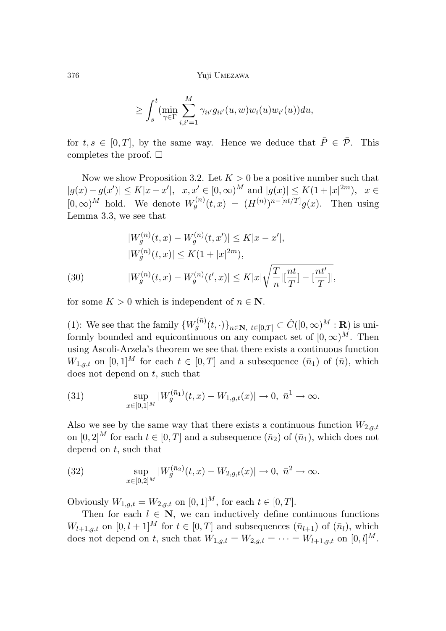$$
\geq \int_s^t (\min_{\gamma \in \Gamma} \sum_{i,i'=1}^M \gamma_{ii'} g_{ii'}(u,w) w_i(u) w_{i'}(u)) du,
$$

for  $t, s \in [0, T]$ , by the same way. Hence we deduce that  $\overline{P} \in \overline{\mathcal{P}}$ . This completes the proof.  $\square$ 

Now we show Proposition 3.2. Let  $K > 0$  be a positive number such that  $|g(x) - g(x')| \le K|x - x'|$ ,  $x, x' \in [0, \infty)^M$  and  $|g(x)| \le K(1 + |x|^{2m})$ ,  $x \in$  $[0,\infty)^M$  hold. We denote  $W_g^{(n)}(t,x)=(H^{(n)})^{n-[nt/T]}g(x)$ . Then using Lemma 3.3, we see that

(30)  
\n
$$
|W_g^{(n)}(t, x) - W_g^{(n)}(t, x')| \le K|x - x'|,
$$
\n
$$
|W_g^{(n)}(t, x)| \le K(1 + |x|^{2m}),
$$
\n
$$
|W_g^{(n)}(t, x) - W_g^{(n)}(t', x)| \le K|x|\sqrt{\frac{T}{n}|\left[\frac{nt}{T}\right] - \left[\frac{nt'}{T}\right]|},
$$

for some  $K > 0$  which is independent of  $n \in \mathbb{N}$ .

(1): We see that the family  $\{W_g^{(\bar{n})}(t,\cdot)\}_{n\in\mathbb{N},\ t\in[0,T]}\subset\hat{C}([0,\infty)^M:\mathbf{R})$  is uniformly bounded and equicontinuous on any compact set of  $[0, \infty)^M$ . Then using Ascoli-Arzela's theorem we see that there exists a continuous function *W*<sub>1*,g,t*</sub> on [0*,* 1]<sup>*M*</sup> for each  $t \in [0, T]$  and a subsequence  $(\bar{n}_1)$  of  $(\bar{n})$ , which does not depend on *t*, such that

(31) 
$$
\sup_{x \in [0,1]^M} |W_g^{(\bar{n}_1)}(t,x) - W_{1,g,t}(x)| \to 0, \ \bar{n}^1 \to \infty.
$$

Also we see by the same way that there exists a continuous function  $W_{2,q,t}$ on  $[0,2]^M$  for each  $t \in [0,T]$  and a subsequence  $(\bar{n}_2)$  of  $(\bar{n}_1)$ , which does not depend on *t*, such that

(32) 
$$
\sup_{x \in [0,2]^M} |W_g^{(\bar{n}_2)}(t,x) - W_{2,g,t}(x)| \to 0, \ \bar{n}^2 \to \infty.
$$

Obviously  $W_{1,q,t} = W_{2,q,t}$  on  $[0,1]^M$ , for each  $t \in [0,T]$ .

Then for each  $l \in \mathbb{N}$ , we can inductively define continuous functions  $W_{l+1,q,t}$  on  $[0, l+1]^M$  for  $t \in [0, T]$  and subsequences  $(\bar{n}_{l+1})$  of  $(\bar{n}_l)$ , which does not depend on *t*, such that  $W_{1,g,t} = W_{2,g,t} = \cdots = W_{l+1,g,t}$  on  $[0, l]^M$ .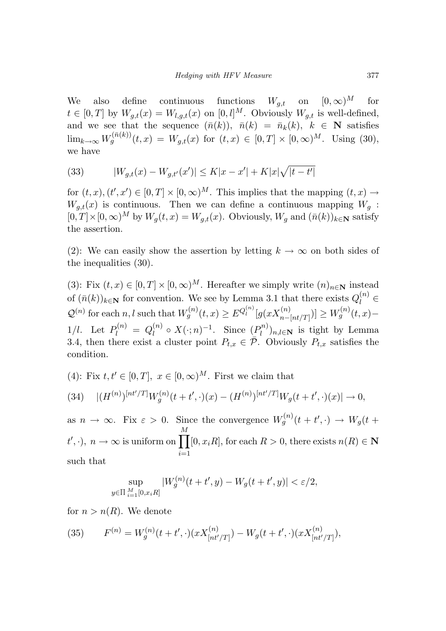We also define continuous functions  $W_{g,t}$  on  $[0,\infty)^M$  for  $t \in [0, T]$  by  $W_{g,t}(x) = W_{l,g,t}(x)$  on  $[0, l]^M$ . Obviously  $W_{g,t}$  is well-defined, and we see that the sequence  $(\bar{n}(k))$ ,  $\bar{n}(k) = \bar{n}_k(k)$ ,  $k \in \mathbb{N}$  satisfies  $\lim_{k \to \infty} W_g^{(\bar{n}(k))}(t, x) = W_{g,t}(x) \text{ for } (t, x) \in [0, T] \times [0, \infty)^M$ . Using (30), we have

(33) 
$$
|W_{g,t}(x) - W_{g,t'}(x')| \le K|x - x'| + K|x|\sqrt{|t - t'|}
$$

for  $(t, x)$ ,  $(t', x') \in [0, T] \times [0, \infty)^M$ . This implies that the mapping  $(t, x) \rightarrow$  $W_{q,t}(x)$  is continuous. Then we can define a continuous mapping  $W_q$ :  $[0, T] \times [0, \infty)$ <sup>*M*</sup> by  $W_q(t, x) = W_{q,t}(x)$ . Obviously,  $W_q$  and  $(\bar{n}(k))_{k \in \mathbb{N}}$  satisfy the assertion.

(2): We can easily show the assertion by letting  $k \to \infty$  on both sides of the inequalities (30).

(3): Fix  $(t, x) \in [0, T] \times [0, \infty)^M$ . Hereafter we simply write  $(n)_{n \in \mathbb{N}}$  instead of  $(\bar{n}(k))_{k \in \mathbb{N}}$  for convention. We see by Lemma 3.1 that there exists  $Q_l^{(n)}$   $\in$  $\mathcal{Q}^{(n)}$  for each *n*, *l* such that  $W_g^{(n)}(t,x) \geq E^{Q_l^{(n)}}[g(xX_{n-[nt/T]}^{(n)})] \geq W_g^{(n)}(t,x) -$ 1/l. Let  $P_l^{(n)} = Q_l^{(n)} \circ X(\cdot; n)^{-1}$ . Since  $(P_l^{(n)})_{n,l \in \mathbb{N}}$  is tight by Lemma 3.4, then there exist a cluster point  $P_{t,x} \in \overline{\mathcal{P}}$ . Obviously  $P_{t,x}$  satisfies the condition.

(4): Fix  $t, t' \in [0, T]$ ,  $x \in [0, \infty)^M$ . First we claim that

$$
(34) \quad |(H^{(n)})^{[nt'/T]}W_g^{(n)}(t+t',\cdot)(x)-(H^{(n)})^{[nt'/T]}W_g(t+t',\cdot)(x)|\to 0,
$$

as  $n \to \infty$ . Fix  $\varepsilon > 0$ . Since the convergence  $W_g^{(n)}(t + t', \cdot) \to W_g(t + t')$  $t', \cdot$ ,  $n \to \infty$  is uniform on  $\prod$ *M i*=1  $[0, x_iR]$ , for each  $R > 0$ , there exists  $n(R) \in \mathbb{N}$ such that

$$
\sup_{y \in \Pi} \sup_{\substack{M \\ i=1} [0, x_i R]} |W_g^{(n)}(t + t', y) - W_g(t + t', y)| < \varepsilon/2,
$$

for  $n > n(R)$ . We denote

(35) 
$$
F^{(n)} = W_g^{(n)}(t + t', \cdot)(x X_{[nt'/T]}^{(n)}) - W_g(t + t', \cdot)(x X_{[nt'/T]}^{(n)}),
$$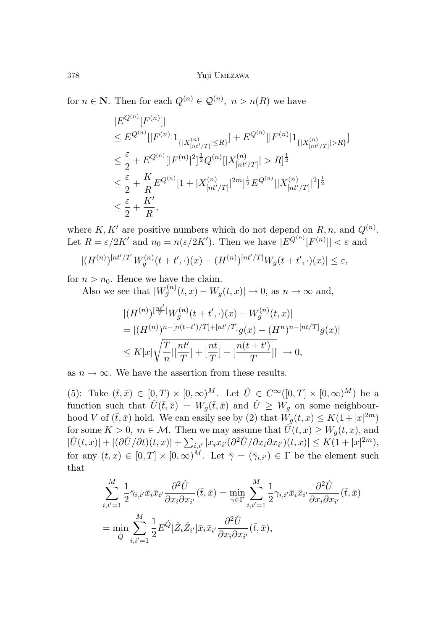for  $n \in \mathbb{N}$ . Then for each  $Q^{(n)} \in \mathcal{Q}^{(n)}$ ,  $n > n(R)$  we have

$$
|E^{Q^{(n)}}[F^{(n)}]|
$$
  
\n
$$
\leq E^{Q^{(n)}}[|F^{(n)}|1_{\{|X^{(n)}_{[nt'/T]}|\leq R\}}] + E^{Q^{(n)}}[|F^{(n)}|1_{\{|X^{(n)}_{[nt'/T]}|>R\}}]
$$
  
\n
$$
\leq \frac{\varepsilon}{2} + E^{Q^{(n)}}[|F^{(n)}|^2]^{\frac{1}{2}}Q^{(n)}[|X^{(n)}_{[nt'/T]}| > R]^{\frac{1}{2}}
$$
  
\n
$$
\leq \frac{\varepsilon}{2} + \frac{K}{R}E^{Q^{(n)}}[1 + |X^{(n)}_{[nt'/T]}|^{2m}]^{\frac{1}{2}}E^{Q^{(n)}}[|X^{(n)}_{[nt'/T]}|^{2}]^{\frac{1}{2}}
$$
  
\n
$$
\leq \frac{\varepsilon}{2} + \frac{K'}{R},
$$

where  $K, K'$  are positive numbers which do not depend on  $R, n$ , and  $Q^{(n)}$ . Let  $R = \varepsilon/2K'$  and  $n_0 = n(\varepsilon/2K')$ . Then we have  $|E^{Q^{(n)}}[F^{(n)}]| < \varepsilon$  and

$$
|(H^{(n)})^{[nt'/T]}W_g^{(n)}(t+t',\cdot)(x)-(H^{(n)})^{[nt'/T]}W_g(t+t',\cdot)(x)| \leq \varepsilon,
$$

for  $n > n_0$ . Hence we have the claim.

Also we see that  $|W_g^{(n)}(t,x) - W_g(t,x)| \to 0$ , as  $n \to \infty$  and,

$$
|(H^{(n)})^{[\frac{nt'}{T}]}W_g^{(n)}(t+t',\cdot)(x)-W_g^{(n)}(t,x)|
$$
  
=|(H^{(n)})^{n-[n(t+t')/T]+[nt'/T]}g(x)-(H^n)^{n-[nt/T]}g(x)|  

$$
\leq K|x|\sqrt{\frac{T}{n}|\left[\frac{nt'}{T}\right]+\left[\frac{nt}{T}\right]-\left[\frac{n(t+t')}{T}\right]|} \to 0,
$$

as  $n \to \infty$ . We have the assertion from these results.

(5): Take  $(\bar{t},\bar{x}) \in [0,T) \times [0,\infty)^M$ . Let  $\hat{U} \in C^{\infty}([0,T] \times [0,\infty)^M)$  be a function such that  $\hat{U}(\bar{t},\bar{x}) = W_q(\bar{t},\bar{x})$  and  $\hat{U} \geq W_q$  on some neighbourhood *V* of  $(\bar{t}, \bar{x})$  hold. We can easily see by (2) that  $W_g(t, x) \leq K(1+|x|^{2m})$ for some  $K > 0$ ,  $m \in \mathcal{M}$ . Then we may assume that  $\hat{U}(t, x) \geq W_g(t, x)$ , and  $|\hat{U}(t,x)|+|(\partial \hat{U}/\partial t)(t,x)|+\sum_{i,i'}|x_ix_{i'}(\partial^2 \hat{U}/\partial x_i\partial x_{i'})(t,x)|\leq K(1+|x|^{2m}),$ for any  $(t, x) \in [0, T] \times [0, \infty)^M$ . Let  $\overline{\gamma} = (\overline{\gamma}_{i,i'}) \in \Gamma$  be the element such that

$$
\sum_{i,i'=1}^{M} \frac{1}{2} \bar{\gamma}_{i,i'} \bar{x}_i \bar{x}_{i'} \frac{\partial^2 \hat{U}}{\partial x_i \partial x_{i'}} (\bar{t}, \bar{x}) = \min_{\gamma \in \Gamma} \sum_{i,i'=1}^{M} \frac{1}{2} \gamma_{i,i'} \bar{x}_i \bar{x}_{i'} \frac{\partial^2 \hat{U}}{\partial x_i \partial x_{i'}} (\bar{t}, \bar{x})
$$
  
= 
$$
\min_{\hat{Q}} \sum_{i,i'=1}^{M} \frac{1}{2} E^{\hat{Q}} [\hat{Z}_i \hat{Z}_{i'}] \bar{x}_i \bar{x}_{i'} \frac{\partial^2 \hat{U}}{\partial x_i \partial x_{i'}} (\bar{t}, \bar{x}),
$$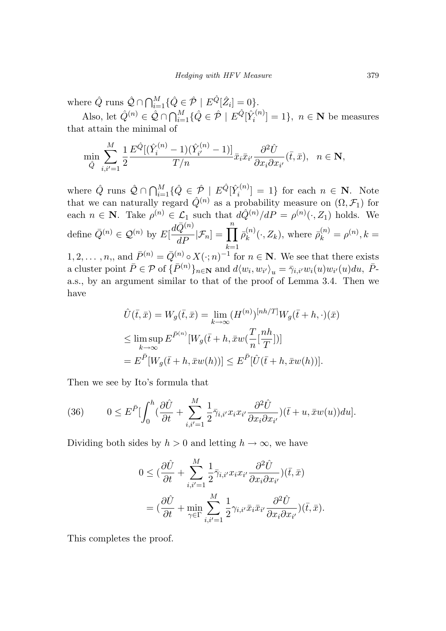where  $\hat{Q}$  runs  $\hat{\mathcal{Q}} \cap \bigcap_{i=1}^{M} \{ \hat{Q} \in \hat{\mathcal{P}} \mid E^{\hat{Q}}[\hat{Z}_i] = 0 \}.$ 

Also, let  $\hat{Q}^{(n)} \in \hat{\mathcal{Q}} \cap \bigcap_{i=1}^{M} \{\hat{Q} \in \hat{\mathcal{P}} \mid E^{\hat{Q}}[\hat{Y}_i^{(n)}] = 1\}, n \in \mathbb{N}$  be measures that attain the minimal of

$$
\min_{\hat{Q}} \sum_{i,i'=1}^{M} \frac{1}{2} \frac{E^{\hat{Q}}[(\hat{Y}_i^{(n)} - 1)(\hat{Y}_{i'}^{(n)} - 1)]}{T/n} \bar{x}_i \bar{x}_{i'} \frac{\partial^2 \hat{U}}{\partial x_i \partial x_{i'}}(\bar{t}, \bar{x}), \quad n \in \mathbb{N},
$$

where  $\hat{Q}$  runs  $\hat{\mathcal{Q}} \cap \bigcap_{i=1}^{M} \{\hat{Q} \in \hat{\mathcal{P}} \mid E^{\hat{Q}}[\hat{Y}_i^{(n)}] = 1\}$  for each  $n \in \mathbb{N}$ . Note that we can naturally regard  $\hat{Q}^{(n)}$  as a probability measure on  $(\Omega, \mathcal{F}_1)$  for each  $n \in \mathbb{N}$ . Take  $\rho^{(n)} \in \mathcal{L}_1$  such that  $d\hat{Q}^{(n)}/dP = \rho^{(n)}(\cdot, Z_1)$  holds. We define  $\bar{Q}^{(n)} \in \mathcal{Q}^{(n)}$  by  $E\left[\frac{d\bar{Q}^{(n)}}{dP} | \mathcal{F}_n\right] = \prod_{k=1}^n$  $\bar{\rho}_k^{(n)}(\cdot, Z_k)$ , where  $\bar{\rho}_k^{(n)} = \rho^{(n)}$ ,  $k =$  $1, 2, \ldots, n$ , and  $\bar{P}^{(n)} = \bar{Q}^{(n)} \circ X(\cdot; n)^{-1}$  for  $n \in \mathbb{N}$ . We see that there exists

a cluster point  $\bar{P} \in \mathcal{P}$  of  $\{\bar{P}^{(n)}\}_{n \in \mathbb{N}}$  and  $d\langle w_i, w_{i'} \rangle_u = \bar{\gamma}_{i,i'} w_i(u) w_{i'}(u) du$ ,  $\bar{P}$ a.s., by an argument similar to that of the proof of Lemma 3.4. Then we have

$$
\hat{U}(\bar{t}, \bar{x}) = W_g(\bar{t}, \bar{x}) = \lim_{k \to \infty} (H^{(n)})^{[nh/T]} W_g(\bar{t} + h, \cdot)(\bar{x})
$$
\n
$$
\leq \limsup_{k \to \infty} E^{\bar{P}^{(n)}} [W_g(\bar{t} + h, \bar{x}w(\frac{T}{n}[\frac{nh}{T}])]
$$
\n
$$
= E^{\bar{P}} [W_g(\bar{t} + h, \bar{x}w(h))] \leq E^{\bar{P}} [\hat{U}(\bar{t} + h, \bar{x}w(h))].
$$

Then we see by Ito's formula that

(36) 
$$
0 \leq E^{\bar{P}} \left[ \int_0^h \left( \frac{\partial \hat{U}}{\partial t} + \sum_{i,i'=1}^M \frac{1}{2} \bar{\gamma}_{i,i'} x_i x_{i'} \frac{\partial^2 \hat{U}}{\partial x_i \partial x_{i'}} \right) (\bar{t} + u, \bar{x} w(u)) du \right].
$$

Dividing both sides by  $h > 0$  and letting  $h \to \infty$ , we have

$$
0 \leq \left(\frac{\partial \hat{U}}{\partial t} + \sum_{i,i'=1}^{M} \frac{1}{2} \bar{\gamma}_{i,i'} x_i x_{i'} \frac{\partial^2 \hat{U}}{\partial x_i \partial x_{i'}}\right) (\bar{t}, \bar{x})
$$
  

$$
= \left(\frac{\partial \hat{U}}{\partial t} + \min_{\gamma \in \Gamma} \sum_{i,i'=1}^{M} \frac{1}{2} \gamma_{i,i'} \bar{x}_i \bar{x}_{i'} \frac{\partial^2 \hat{U}}{\partial x_i \partial x_{i'}}\right) (\bar{t}, \bar{x}).
$$

This completes the proof.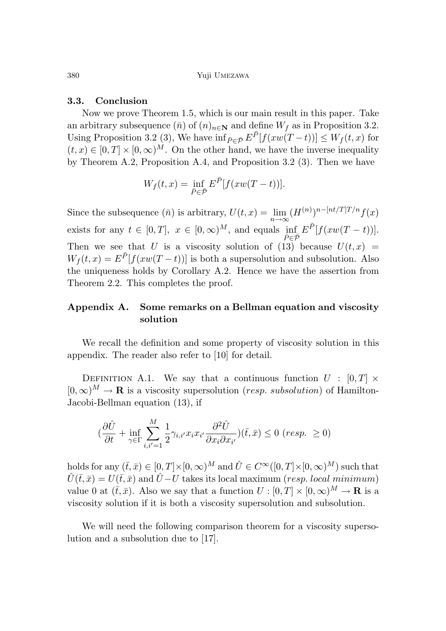#### **3.3. Conclusion**

Now we prove Theorem 1.5, which is our main result in this paper. Take an arbitrary subsequence  $(\bar{n})$  of  $(n)_{n\in\mathbb{N}}$  and define  $W_f$  as in Proposition 3.2. Using Proposition 3.2 (3), We have  $\inf_{\bar{P}\in\bar{\mathcal{P}}}E^{\bar{P}}[f(xw(T-t))] \leq W_f(t,x)$  for  $(t, x) \in [0, T] \times [0, \infty)^M$ . On the other hand, we have the inverse inequality by Theorem A.2, Proposition A.4, and Proposition 3.2 (3). Then we have

$$
W_f(t,x) = \inf_{\bar{P} \in \bar{\mathcal{P}}} E^{\bar{P}}[f(xw(T-t))].
$$

Since the subsequence  $(\bar{n})$  is arbitrary,  $U(t, x) = \lim_{n \to \infty} (H^{(n)})^{n-[nt/T]T/n} f(x)$ exists for any  $t \in [0, T]$ ,  $x \in [0, \infty)^M$ , and equals  $\inf_{\overline{P} \in \overline{P}} E^{\overline{P}}[f(xw(T - t))].$ Then we see that *U* is a viscosity solution of  $(13)$  because  $U(t, x)$  =  $W_f(t,x) = E^{\bar{P}}[f(xw(T-t))]$  is both a supersolution and subsolution. Also the uniqueness holds by Corollary A.2. Hence we have the assertion from Theorem 2.2. This completes the proof.

# **Appendix A. Some remarks on a Bellman equation and viscosity solution**

We recall the definition and some property of viscosity solution in this appendix. The reader also refer to [10] for detail.

DEFINITION A.1. We say that a continuous function  $U : [0, T] \times$  $[0,\infty)^M \to \mathbf{R}$  is a viscosity supersolution (*resp. subsolution*) of Hamilton-Jacobi-Bellman equation (13), if

$$
(\frac{\partial \hat{U}}{\partial t} + \inf_{\gamma \in \Gamma} \sum_{i,i'=1}^M \frac{1}{2} \gamma_{i,i'} x_i x_{i'} \frac{\partial^2 \hat{U}}{\partial x_i \partial x_{i'}})(\bar{t}, \bar{x}) \leq 0 \ (resp. \ \geq 0)
$$

holds for any  $(\bar{t},\bar{x}) \in [0,T] \times [0,\infty)^M$  and  $\hat{U} \in C^\infty([0,T] \times [0,\infty)^M)$  such that  $\hat{U}(\bar{t},\bar{x}) = U(\bar{t},\bar{x})$  and  $\hat{U} - U$  takes its local maximum (*resp. local minimum*) value 0 at  $(\bar{t}, \bar{x})$ . Also we say that a function  $U : [0, T] \times [0, \infty)^M \to \mathbf{R}$  is a viscosity solution if it is both a viscosity supersolution and subsolution.

We will need the following comparison theorem for a viscosity supersolution and a subsolution due to [17].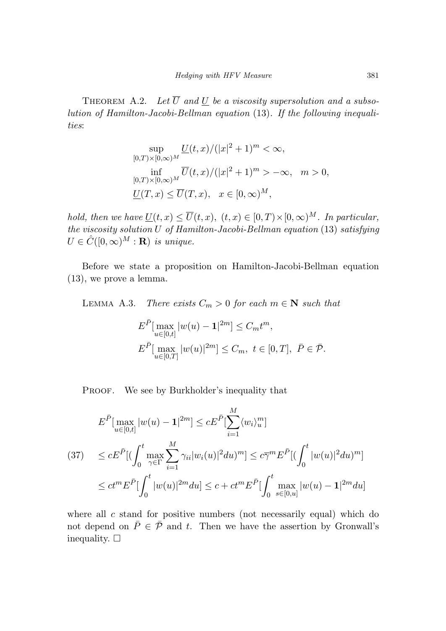THEOREM A.2. Let  $\overline{U}$  and  $\underline{U}$  be a viscosity supersolution and a subsolution of Hamilton-Jacobi-Bellman equation (13). If the following inequalities:

$$
\sup_{[0,T)\times[0,\infty)^M} \frac{U(t,x)/(|x|^2+1)^m < \infty,}{\inf_{[0,T)\times[0,\infty)^M} \overline{U}(t,x)/(|x|^2+1)^m > -\infty, \quad m > 0,}
$$
  

$$
\frac{U(T,x) \le \overline{U}(T,x), \quad x \in [0,\infty)^M,
$$

hold, then we have  $U(t, x) \leq \overline{U}(t, x)$ ,  $(t, x) \in [0, T) \times [0, \infty)^M$ . In particular, the viscosity solution *U* of Hamilton-Jacobi-Bellman equation (13) satisfying  $U \in \hat{C}([0,\infty)^M : \mathbf{R})$  is unique.

Before we state a proposition on Hamilton-Jacobi-Bellman equation (13), we prove a lemma.

LEMMA A.3. There exists  $C_m > 0$  for each  $m \in \mathbb{N}$  such that

$$
E^{\bar{P}}[\max_{u \in [0,t]} |w(u) - \mathbf{1}|^{2m}] \leq C_m t^m,
$$
  

$$
E^{\bar{P}}[\max_{u \in [0,T]} |w(u)|^{2m}] \leq C_m, \ t \in [0,T], \ \bar{P} \in \bar{\mathcal{P}}.
$$

PROOF. We see by Burkholder's inequality that

$$
E^{\bar{P}}[\max_{u \in [0,t]} |w(u) - \mathbf{1}|^{2m}] \le c E^{\bar{P}}[\sum_{i=1}^{M} \langle w_i \rangle_u^m]
$$
  
(37) 
$$
\le c E^{\bar{P}}[(\int_0^t \max_{\gamma \in \Gamma} \sum_{i=1}^{M} \gamma_{ii} |w_i(u)|^2 du)^m] \le c \bar{\gamma}^m E^{\bar{P}}[(\int_0^t |w(u)|^2 du)^m]
$$

$$
\le c t^m E^{\bar{P}}[\int_0^t |w(u)|^{2m} du] \le c + c t^m E^{\bar{P}}[\int_0^t \max_{s \in [0,u]} |w(u) - \mathbf{1}|^{2m} du]
$$

where all *c* stand for positive numbers (not necessarily equal) which do not depend on  $\overline{P} \in \overline{P}$  and *t*. Then we have the assertion by Gronwall's inequality.  $\square$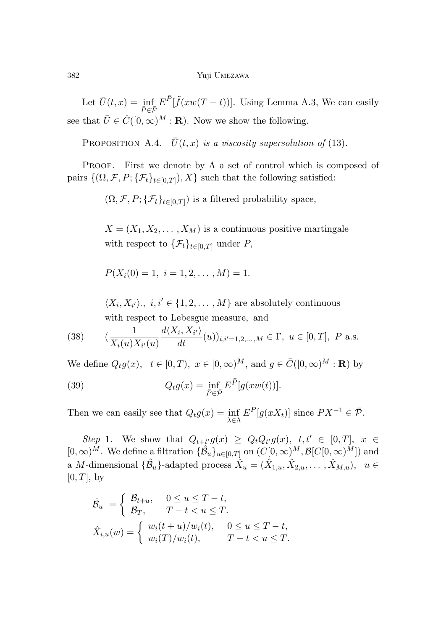Let  $\bar{U}(t,x) = \inf_{\bar{P} \in \bar{\mathcal{P}}} E^{\bar{P}}[\tilde{f}(xw(T-t))]$ . Using Lemma A.3, We can easily see that  $\bar{U} \in \hat{C}([0,\infty)^M : \mathbf{R})$ . Now we show the following.

PROPOSITION A.4.  $\bar{U}(t, x)$  is a viscosity supersolution of (13).

PROOF. First we denote by  $\Lambda$  a set of control which is composed of pairs  $\{(\Omega, \mathcal{F}, P; \{\mathcal{F}_t\}_{t\in[0,T]})$ , X such that the following satisfied:

 $(\Omega, \mathcal{F}, P; \{\mathcal{F}_t\}_{t\in [0,T]})$  is a filtered probability space,

 $X = (X_1, X_2, \ldots, X_M)$  is a continuous positive martingale with respect to  $\{\mathcal{F}_t\}_{t\in[0,T]}$  under *P*,

$$
P(X_i(0) = 1, i = 1, 2, \dots, M) = 1.
$$

 $\langle X_i, X_{i'} \rangle$ ,  $i, i' \in \{1, 2, ..., M\}$  are absolutely continuous with respect to Lebesgue measure*,* and

(38) 
$$
(\frac{1}{X_i(u)X_{i'}(u)}\frac{d\langle X_i, X_{i'}\rangle}{dt}(u))_{i,i'=1,2,\ldots,M} \in \Gamma, u \in [0,T], P \text{ a.s.}
$$

We define  $Q_t q(x)$ ,  $t \in [0, T)$ ,  $x \in [0, \infty)^M$ , and  $q \in \overline{C}([0, \infty)^M : \mathbf{R})$  by

(39) 
$$
Q_t g(x) = \inf_{\overline{P} \in \overline{P}} E^{\overline{P}}[g(xw(t))].
$$

Then we can easily see that  $Q_t g(x) = \inf_{\lambda \in \Lambda} E^P[g(xX_t)]$  since  $PX^{-1} \in \overline{\mathcal{P}}$ .

Step 1. We show that  $Q_{t+t'}g(x) \geq Q_tQ_{t'}g(x), t, t' \in [0,T], x \in$  $[0,\infty)^M$ . We define a filtration  $\{\hat{\mathcal{B}}_u\}_{u\in[0,T]}$  on  $(C[0,\infty)^M, \mathcal{B}[C[0,\infty)^M])$  and a *M*-dimensional  $\{\hat{\mathcal{B}}_u\}$ -adapted process  $\hat{X}_u = (\hat{X}_{1,u}, \hat{X}_{2,u}, \dots, \hat{X}_{M,u}), u \in$  $[0, T]$ , by

$$
\hat{\mathcal{B}}_u = \begin{cases}\n\mathcal{B}_{t+u}, & 0 \le u \le T-t, \\
\mathcal{B}_T, & T-t < u \le T.\n\end{cases}
$$
\n
$$
\hat{X}_{i,u}(w) = \begin{cases}\nw_i(t+u)/w_i(t), & 0 \le u \le T-t, \\
w_i(T)/w_i(t), & T-t < u \le T.\n\end{cases}
$$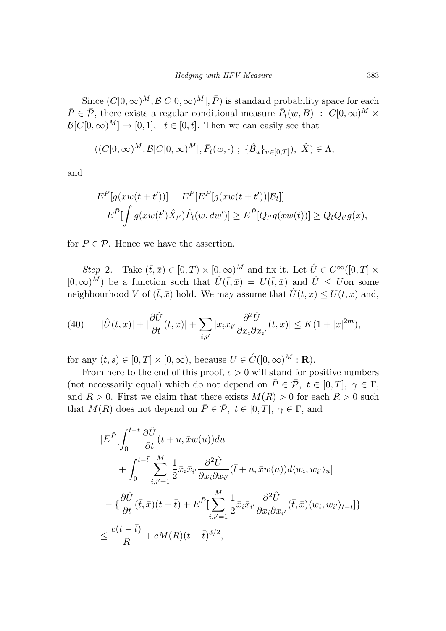Since  $(C[0,\infty)^M, \mathcal{B}[C[0,\infty)^M], \overline{P})$  is standard probability space for each  $\overline{P} \in \overline{\mathcal{P}}$ , there exists a regular conditional measure  $\overline{P}_t(w, B)$  :  $C[0, \infty)^M$  ×  $\mathcal{B}[C[0,\infty)^M] \to [0,1], t \in [0,t].$  Then we can easily see that

$$
((C[0,\infty)^M,\mathcal{B}[C[0,\infty)^M],\bar{P}_t(w,\cdot);\{\hat{\mathcal{B}}_u\}_{u\in[0,T]}),\hat{X})\in\Lambda,
$$

and

$$
E^{\bar{P}}[g(xw(t+t'))] = E^{\bar{P}}[E^{\bar{P}}[g(xw(t+t'))|\mathcal{B}_t]]
$$
  
= 
$$
E^{\bar{P}}[\int g(xw(t')\hat{X}_{t'})\hat{P}_t(w, dw')] \ge E^{\hat{P}}[Q_{t'}g(xw(t))] \ge Q_tQ_{t'}g(x),
$$

for  $\bar{P} \in \bar{\mathcal{P}}$ . Hence we have the assertion.

Step 2. Take  $(\bar{t},\bar{x}) \in [0,T) \times [0,\infty)^M$  and fix it. Let  $\hat{U} \in C^{\infty}([0,T] \times$  $[0,\infty)^M$  be a function such that  $\hat{U}(\bar{t},\bar{x}) = \overline{U}(\bar{t},\bar{x})$  and  $\hat{U} \leq \overline{U}$  on some neighbourhood *V* of  $(\bar{t}, \bar{x})$  hold. We may assume that  $\hat{U}(t, x) \leq \overline{U}(t, x)$  and,

(40) 
$$
|\hat{U}(t,x)|+|\frac{\partial \hat{U}}{\partial t}(t,x)|+\sum_{i,i'}|x_ix_{i'}\frac{\partial^2 \hat{U}}{\partial x_i \partial x_{i'}}(t,x)|\leq K(1+|x|^{2m}),
$$

for any  $(t, s) \in [0, T] \times [0, \infty)$ , because  $\overline{U} \in \hat{C}([0, \infty)^M : \mathbf{R})$ .

From here to the end of this proof,  $c > 0$  will stand for positive numbers (not necessarily equal) which do not depend on  $\overline{P} \in \overline{\mathcal{P}}$ ,  $t \in [0, T]$ ,  $\gamma \in \Gamma$ , and  $R > 0$ . First we claim that there exists  $M(R) > 0$  for each  $R > 0$  such that  $M(R)$  does not depend on  $\overline{P} \in \overline{\mathcal{P}}$ ,  $t \in [0, T]$ ,  $\gamma \in \Gamma$ , and

$$
|E^{\bar{P}}[\int_{0}^{t-\bar{t}} \frac{\partial \hat{U}}{\partial t}(\bar{t}+u,\bar{x}w(u))du + \int_{0}^{t-\bar{t}} \sum_{i,i'=1}^{M} \frac{1}{2}\bar{x}_{i}\bar{x}_{i'} \frac{\partial^{2} \hat{U}}{\partial x_{i}\partial x_{i'}}(\bar{t}+u,\bar{x}w(u))d\langle w_{i},w_{i'}\rangle_{u}] - \{\frac{\partial \hat{U}}{\partial t}(\bar{t},\bar{x})(t-\bar{t}) + E^{\bar{P}}[\sum_{i,i'=1}^{M} \frac{1}{2}\bar{x}_{i}\bar{x}_{i'} \frac{\partial^{2} \hat{U}}{\partial x_{i}\partial x_{i'}}(\bar{t},\bar{x})\langle w_{i},w_{i'}\rangle_{t-\bar{t}}]\}| \leq \frac{c(t-\bar{t})}{R} + cM(R)(t-\bar{t})^{3/2},
$$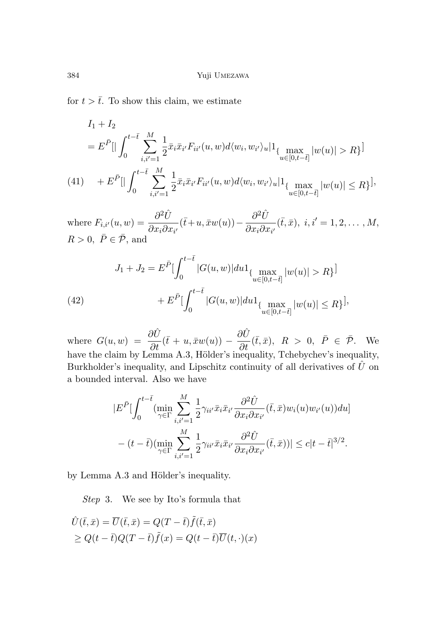for  $t > \overline{t}$ . To show this claim, we estimate

$$
I_{1} + I_{2}
$$
\n
$$
= E^{\bar{P}}[|\int_{0}^{t-\bar{t}} \sum_{i,i'=1}^{M} \frac{1}{2} \bar{x}_{i} \bar{x}_{i'} F_{ii'}(u,w) d\langle w_{i}, w_{i'}\rangle_{u}|1_{\{\max_{u\in[0,t-\bar{t}]} |w(u)| > R\}}]
$$
\n
$$
(41) \quad + E^{\bar{P}}[|\int_{0}^{t-\bar{t}} \sum_{i,i'=1}^{M} \frac{1}{2} \bar{x}_{i} \bar{x}_{i'} F_{ii'}(u,w) d\langle w_{i}, w_{i'}\rangle_{u}|1_{\{\max_{u\in[0,t-\bar{t}]} |w(u)| \le R\}}],
$$

where  $F_{i,i'}(u,w) = \frac{\partial^2 \hat{U}}{\partial u \cdot \partial v}$  $\frac{\partial^2 \hat{U}}{\partial x_i \partial x_{i'}}(\bar{t} + u, \bar{x}w(u)) - \frac{\partial^2 \hat{U}}{\partial x_i \partial x_{i'}}$  $\frac{\partial^2 U}{\partial x_i \partial x_{i'}}(\bar{t},\bar{x}), i, i' = 1,2,...,M,$  $R > 0$ ,  $\bar{P} \in \bar{\mathcal{P}}$ , and

(42) 
$$
J_1 + J_2 = E^{\bar{P}} \left[ \int_0^{t - \bar{t}} |G(u, w)| du \right]_{\{ \max_{u \in [0, t - \bar{t}]} |w(u)| > R \}} \left. \right]
$$

$$
+ E^{\bar{P}} \left[ \int_0^{t - \bar{t}} |G(u, w)| du \right]_{\{ \max_{u \in [0, t - \bar{t}]} |w(u)| \le R \}} \left. \right],
$$

where  $G(u, w) = \frac{\partial \hat{U}}{\partial t}(\bar{t} + u, \bar{x}w(u)) - \frac{\partial \hat{U}}{\partial t}(\bar{t}, \bar{x}), R > 0, \ \bar{P} \in \bar{\mathcal{P}}$ . We have the claim by Lemma A.3, Hölder's inequality, Tchebychev's inequality, Burkholder's inequality, and Lipschitz continuity of all derivatives of  $\hat{U}$  on a bounded interval. Also we have

$$
|E^{\bar{P}}[\int_{0}^{t-\bar{t}} (\min_{\gamma \in \Gamma} \sum_{i,i'=1}^{M} \frac{1}{2} \gamma_{ii'} \bar{x}_i \bar{x}_{i'} \frac{\partial^2 \hat{U}}{\partial x_i \partial x_{i'}}(\bar{t}, \bar{x}) w_i(u) w_{i'}(u)) du]
$$
  

$$
- (t-\bar{t}) (\min_{\gamma \in \Gamma} \sum_{i,i'=1}^{M} \frac{1}{2} \gamma_{ii'} \bar{x}_i \bar{x}_{i'} \frac{\partial^2 \hat{U}}{\partial x_i \partial x_{i'}}(\bar{t}, \bar{x}))| \leq c|t-\bar{t}|^{3/2}.
$$

by Lemma A.3 and Hölder's inequality.

Step 3. We see by Ito's formula that

$$
\hat{U}(\bar{t}, \bar{x}) = \overline{U}(\bar{t}, \bar{x}) = Q(T - \bar{t})\tilde{f}(\bar{t}, \bar{x})
$$
\n
$$
\geq Q(t - \bar{t})Q(T - \bar{t})\tilde{f}(x) = Q(t - \bar{t})\overline{U}(t, \cdot)(x)
$$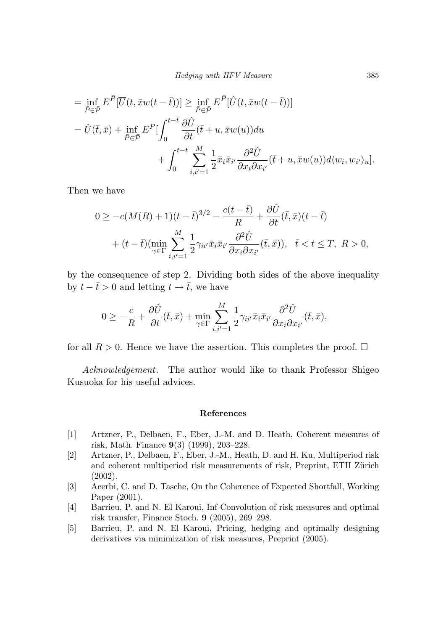$$
= \inf_{\bar{P}\in\bar{\mathcal{P}}} E^{\bar{P}}[\overline{U}(t,\bar{x}w(t-\bar{t}))] \geq \inf_{\bar{P}\in\bar{\mathcal{P}}} E^{\bar{P}}[\hat{U}(t,\bar{x}w(t-\bar{t}))]
$$
  

$$
= \hat{U}(\bar{t},\bar{x}) + \inf_{\bar{P}\in\bar{\mathcal{P}}} E^{\bar{P}}[\int_{0}^{t-\bar{t}} \frac{\partial \hat{U}}{\partial t}(\bar{t}+u,\bar{x}w(u))du + \int_{0}^{t-\bar{t}} \sum_{i,i'=1}^{M} \frac{1}{2}\bar{x}_{i}\bar{x}_{i'}\frac{\partial^{2}\hat{U}}{\partial x_{i}\partial x_{i'}}(\bar{t}+u,\bar{x}w(u))d\langle w_{i},w_{i'}\rangle_{u}].
$$

Then we have

$$
0 \ge -c(M(R) + 1)(t - \bar{t})^{3/2} - \frac{c(t - \bar{t})}{R} + \frac{\partial \hat{U}}{\partial t}(\bar{t}, \bar{x})(t - \bar{t})
$$
  
+  $(t - \bar{t})(\min_{\gamma \in \Gamma} \sum_{i,i'=1}^{M} \frac{1}{2} \gamma_{ii'} \bar{x}_i \bar{x}_{i'} \frac{\partial^2 \hat{U}}{\partial x_i \partial x_{i'}}(\bar{t}, \bar{x})), \quad \bar{t} < t \le T, \ R > 0,$ 

by the consequence of step 2. Dividing both sides of the above inequality by  $t - \bar{t} > 0$  and letting  $t \to \bar{t}$ , we have

$$
0 \ge -\frac{c}{R} + \frac{\partial \hat{U}}{\partial t}(\bar{t}, \bar{x}) + \min_{\gamma \in \Gamma} \sum_{i,i'=1}^{M} \frac{1}{2} \gamma_{ii'} \bar{x}_i \bar{x}_{i'} \frac{\partial^2 \hat{U}}{\partial x_i \partial x_{i'}}(\bar{t}, \bar{x}),
$$

for all  $R > 0$ . Hence we have the assertion. This completes the proof.  $\Box$ 

Acknowledgement. The author would like to thank Professor Shigeo Kusuoka for his useful advices.

# **References**

- [1] Artzner, P., Delbaen, F., Eber, J.-M. and D. Heath, Coherent measures of risk, Math. Finance **9**(3) (1999), 203–228.
- [2] Artzner, P., Delbaen, F., Eber, J.-M., Heath, D. and H. Ku, Multiperiod risk and coherent multiperiod risk measurements of risk, Preprint, ETH Zürich (2002).
- [3] Acerbi, C. and D. Tasche, On the Coherence of Expected Shortfall, Working Paper (2001).
- [4] Barrieu, P. and N. El Karoui, Inf-Convolution of risk measures and optimal risk transfer, Finance Stoch. **9** (2005), 269–298.
- [5] Barrieu, P. and N. El Karoui, Pricing, hedging and optimally designing derivatives via minimization of risk measures, Preprint (2005).